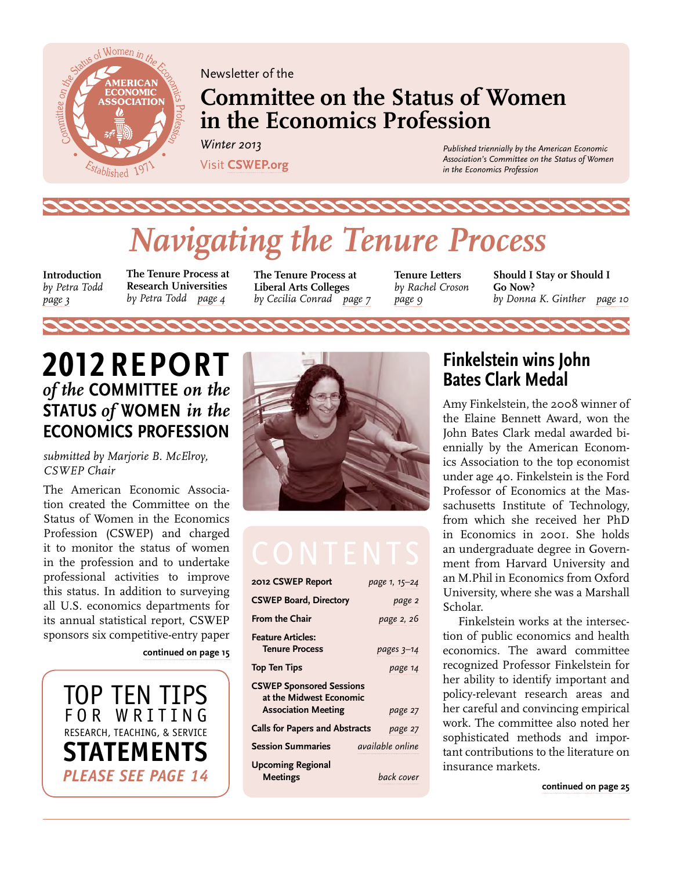<span id="page-0-0"></span>

Newsletter of the

# **Committee on the Status of Women in the Economics Profession**

*Winter 2013*  Visit **[CSWEP.org](http://www.aeaweb.org/committees/cswep/)**

*Published triennially by the American Economic Association's Committee on the Status of Women in the Economics Profession*

# *Navigating the Tenure Process*

**Introduction**  *by Petra Todd [page 3](#page-2-0)* 

**The Tenure Process at Research Universities** *by Petra Todd [page 4](#page-3-0)*

**The Tenure Process at Liberal Arts Colleges**  *by Cecilia Conrad [page 7](#page-6-0)* **Tenure Letters**  *by Rachel Croson [page 9](#page-8-0)*

**Should I Stay or Should I Go Now?**  *by Donna K. Ginther [page](#page-9-0) 10*

# **2012 Report**  *of the* **Committee** *on the*  **Status** *of* **Women** *in the*  **Economics Profession**

*submitted by Marjorie B. McElroy, CSWEP Chair* 

The American Economic Association created the Committee on the Status of Women in the Economics Profession (CSWEP) and charged it to monitor the status of women in the profession and to undertake professional activities to improve this status. In addition to surveying all U.S. economics departments for its annual statistical report, CSWEP sponsors six competitive-entry paper

**[continued on page 15](#page-14-0)**

[TOP TEN TIPS](#page-13-0) f o r wr itin g research, Teaching, & service **statements** *please see page 14*



| 2012 CSWEP Report                                          | page 1, 15-24           |
|------------------------------------------------------------|-------------------------|
| <b>CSWEP Board, Directory</b>                              | page 2                  |
| <b>From the Chair</b>                                      | page 2, 26              |
| <b>Feature Articles:</b><br><b>Tenure Process</b>          | pages 3–14              |
| <b>Top Ten Tips</b>                                        | page 14                 |
| <b>CSWEP Sponsored Sessions</b><br>at the Midwest Economic |                         |
| <b>Association Meeting</b>                                 | page 27                 |
| <b>Calls for Papers and Abstracts</b>                      | page 27                 |
| <b>Session Summaries</b>                                   | <i>available</i> online |
| <b>Upcoming Regional</b><br>Meetings                       | back cover              |

# **Finkelstein wins John Bates Clark Medal**

Amy Finkelstein, the 2008 winner of the Elaine Bennett Award, won the John Bates Clark medal awarded biennially by the American Economics Association to the top economist under age 40. Finkelstein is the Ford Professor of Economics at the Massachusetts Institute of Technology, from which she received her PhD in Economics in 2001. She holds an undergraduate degree in Government from Harvard University and an M.Phil in Economics from Oxford University, where she was a Marshall Scholar.

Finkelstein works at the intersection of public economics and health economics. The award committee recognized Professor Finkelstein for her ability to identify important and policy-relevant research areas and her careful and convincing empirical work. The committee also noted her sophisticated methods and important contributions to the literature on insurance markets.

**[continued on page 25](#page-24-0)**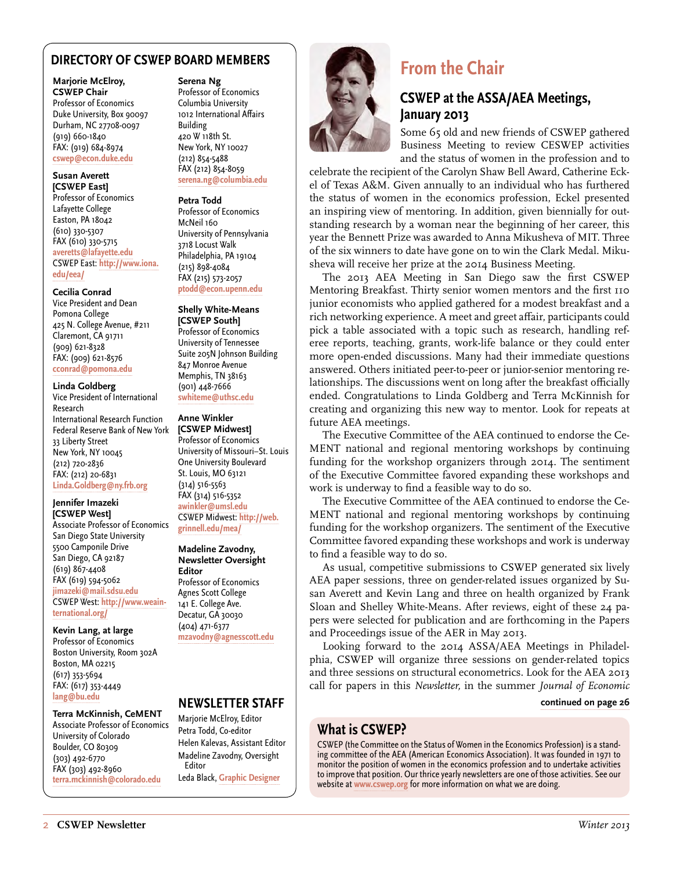#### <span id="page-1-0"></span>**DIRECTORY OF CSWEP BOARD MEMBERS**

#### **Marjorie McElroy, CSWEP Chair** Professor of Economics Duke University, Box 90097 Durham, NC 27708-0097 (919) 660-1840 FAX: (919) 684-8974 **[cswep@econ.duke.edu](mailto:cswep%40econ.duke.edu?subject=)**

#### **Susan Averett [CSWEP East]**

Professor of Economics Lafayette College Easton, PA 18042 (610) 330-5307 FAX (610) 330-5715 **[averetts@lafayette.edu](mailto:averetts%40lafayette.edu?subject=)** CSWEP East: **[http://www.iona.](http://www.iona.edu/eea/) [edu/eea/](http://www.iona.edu/eea/)**

#### **Cecilia Conrad**

Vice President and Dean Pomona College 425 N. College Avenue, #211 Claremont, CA 91711 (909) 621-8328 FAX: (909) 621-8576 **[cconrad@pomona.edu](mailto:cconrad%40pomona.edu?subject=)**

#### **Linda Goldberg**

Vice President of International Research International Research Function Federal Reserve Bank of New York 33 Liberty Street New York, NY 10045 (212) 720-2836 FAX: (212) 20-6831 **[Linda.Goldberg@ny.frb.org](mailto:Linda.Goldberg%40ny.frb.org?subject=)**

#### **Jennifer Imazeki [CSWEP West]**

Associate Professor of Economics San Diego State University 5500 Camponile Drive San Diego, CA 92187 (619) 867-4408 FAX (619) 594-5062 **[jimazeki@mail.sdsu.edu](mailto:jimazeki%40mail.sdsu.edu?subject=)** CSWEP West: **[http://www.weain](http://www.weainternational.org/)[ternational.org/](http://www.weainternational.org/)**

#### **Kevin Lang, at large**

Professor of Economics Boston University, Room 302A Boston, MA 02215 (617) 353-5694 FAX: (617) 353-4449 **[lang@bu.edu](mailto:lang%40bu.edu?subject=)**

#### **Terra McKinnish, CeMENT**

Associate Professor of Economics University of Colorado Boulder, CO 80309 (303) 492-6770 FAX (303) 492-8960 **[terra.mckinnish@colorado.edu](mailto:terra.mckinnish%40colorado.edu?subject=)**

#### **Serena Ng**

Professor of Economics Columbia University 1012 International Affairs Building 420 W 118th St. New York, NY 10027 (212) 854-5488 FAX (212) 854-8059 **[serena.ng@columbia.edu](mailto:serena.ng%40columbia.edu?subject=)**

#### **Petra Todd** Professor of Economics McNeil 160 University of Pennsylvania 3718 Locust Walk Philadelphia, PA 19104 (215) 898-4084 FAX (215) 573-2057

### **[ptodd@econ.upenn.edu](mailto:ptodd%40econ.upenn.edu?subject=)**

**Shelly White-Means [CSWEP South]** Professor of Economics University of Tennessee Suite 205N Johnson Building 847 Monroe Avenue Memphis, TN 38163 (901) 448-7666 **[swhiteme@uthsc.edu](mailto:swhiteme%40uthsc.edu?subject=)**

#### **Anne Winkler [CSWEP Midwest]**

Professor of Economics University of Missouri–St. Louis One University Boulevard St. Louis, MO 63121 (314) 516-5563 FAX (314) 516-5352 **[awinkler@umsl.edu](mailto:awinkler%40umsl.edu?subject=)** CSWEP Midwest: **[http://web.](http://web.grinnell.edu/mea/) [grinnell.edu/mea/](http://web.grinnell.edu/mea/)**

#### **Madeline Zavodny, Newsletter Oversight**

**Editor** Professor of Economics Agnes Scott College 141 E. College Ave. Decatur, GA 30030 (404) 471-6377 **[mzavodny@agnesscott.edu](mailto:mzavodny%40agnesscott.edu?subject=)**

#### **NEWSLETTER STAFF**

Marjorie McElroy, Editor Petra Todd, Co-editor Helen Kalevas, Assistant Editor Madeline Zavodny, Oversight Editor Leda Black, **[Graphic Designer](http://ledablack.com)**



# **From the Chair**

### **CSWEP at the ASSA/AEA Meetings, January 2013**

Some 65 old and new friends of CSWEP gathered Business Meeting to review CESWEP activities and the status of women in the profession and to

celebrate the recipient of the Carolyn Shaw Bell Award, Catherine Eckel of Texas A&M. Given annually to an individual who has furthered the status of women in the economics profession, Eckel presented an inspiring view of mentoring. In addition, given biennially for outstanding research by a woman near the beginning of her career, this year the Bennett Prize was awarded to Anna Mikusheva of MIT. Three of the six winners to date have gone on to win the Clark Medal. Mikusheva will receive her prize at the 2014 Business Meeting.

The 2013 AEA Meeting in San Diego saw the first CSWEP Mentoring Breakfast. Thirty senior women mentors and the first 110 junior economists who applied gathered for a modest breakfast and a rich networking experience. A meet and greet affair, participants could pick a table associated with a topic such as research, handling referee reports, teaching, grants, work-life balance or they could enter more open-ended discussions. Many had their immediate questions answered. Others initiated peer-to-peer or junior-senior mentoring relationships. The discussions went on long after the breakfast officially ended. Congratulations to Linda Goldberg and Terra McKinnish for creating and organizing this new way to mentor. Look for repeats at future AEA meetings.

The Executive Committee of the AEA continued to endorse the Ce-MENT national and regional mentoring workshops by continuing funding for the workshop organizers through 2014. The sentiment of the Executive Committee favored expanding these workshops and work is underway to find a feasible way to do so.

The Executive Committee of the AEA continued to endorse the Ce-MENT national and regional mentoring workshops by continuing funding for the workshop organizers. The sentiment of the Executive Committee favored expanding these workshops and work is underway to find a feasible way to do so.

As usual, competitive submissions to CSWEP generated six lively AEA paper sessions, three on gender-related issues organized by Susan Averett and Kevin Lang and three on health organized by Frank Sloan and Shelley White-Means. After reviews, eight of these 24 papers were selected for publication and are forthcoming in the Papers and Proceedings issue of the AER in May 2013.

Looking forward to the 2014 ASSA/AEA Meetings in Philadelphia, CSWEP will organize three sessions on gender-related topics and three sessions on structural econometrics. Look for the AEA 2013 call for papers in this *Newsletter,* in the summer *Journal of Economic* 

#### **[continued on page 26](#page-25-0)**

#### **What is CSWEP?**

CSWEP (the Committee on the Status of Women in the Economics Profession) is a standing committee of the AEA (American Economics Association). It was founded in 1971 to monitor the position of women in the economics profession and to undertake activities to improve that position. Our thrice yearly newsletters are one of those activities. See our website at **[www.cswep.org](https://www.aeaweb.org/committees/cswep/members/index.php?login)** for more information on what we are doing.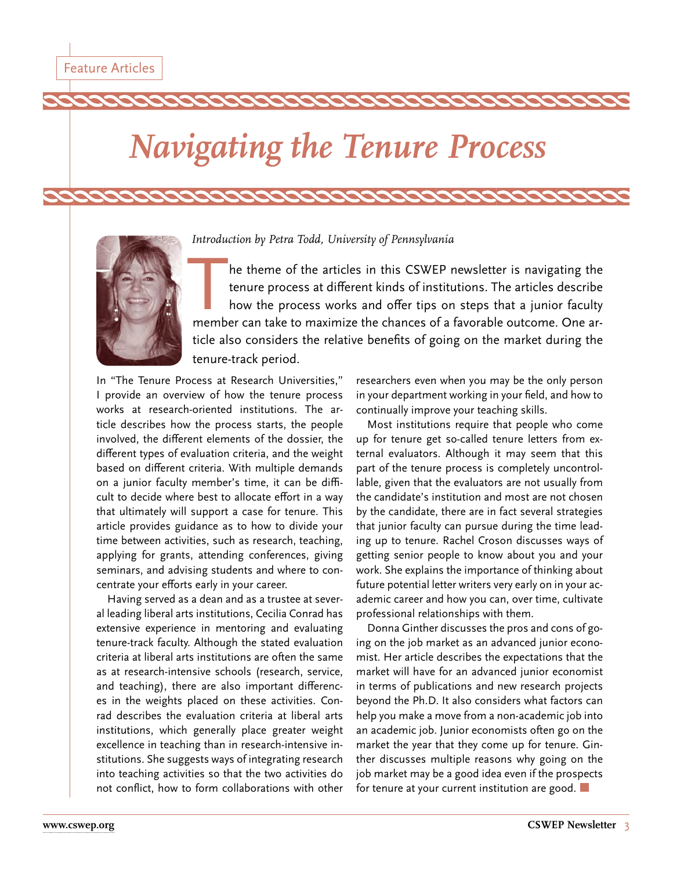# <span id="page-2-0"></span>*Navigating the Tenure Process*



*Introduction by Petra Todd, University of Pennsylvania*

he theme of the articles in this CSWEP newsletter is navigating the tenure process at different kinds of institutions. The articles describe how the process works and offer tips on steps that a junior faculty member can take to maximize the chances of a favorable outcome. One article also considers the relative benefits of going on the market during the tenure-track period.

In "The Tenure Process at Research Universities," I provide an overview of how the tenure process works at research-oriented institutions. The article describes how the process starts, the people involved, the different elements of the dossier, the different types of evaluation criteria, and the weight based on different criteria. With multiple demands on a junior faculty member's time, it can be difficult to decide where best to allocate effort in a way that ultimately will support a case for tenure. This article provides guidance as to how to divide your time between activities, such as research, teaching, applying for grants, attending conferences, giving seminars, and advising students and where to concentrate your efforts early in your career.

Having served as a dean and as a trustee at several leading liberal arts institutions, Cecilia Conrad has extensive experience in mentoring and evaluating tenure-track faculty. Although the stated evaluation criteria at liberal arts institutions are often the same as at research-intensive schools (research, service, and teaching), there are also important differences in the weights placed on these activities. Conrad describes the evaluation criteria at liberal arts institutions, which generally place greater weight excellence in teaching than in research-intensive institutions. She suggests ways of integrating research into teaching activities so that the two activities do not conflict, how to form collaborations with other

researchers even when you may be the only person in your department working in your field, and how to continually improve your teaching skills.

Most institutions require that people who come up for tenure get so-called tenure letters from external evaluators. Although it may seem that this part of the tenure process is completely uncontrollable, given that the evaluators are not usually from the candidate's institution and most are not chosen by the candidate, there are in fact several strategies that junior faculty can pursue during the time leading up to tenure. Rachel Croson discusses ways of getting senior people to know about you and your work. She explains the importance of thinking about future potential letter writers very early on in your academic career and how you can, over time, cultivate professional relationships with them.

Donna Ginther discusses the pros and cons of going on the job market as an advanced junior economist. Her article describes the expectations that the market will have for an advanced junior economist in terms of publications and new research projects beyond the Ph.D. It also considers what factors can help you make a move from a non-academic job into an academic job. Junior economists often go on the market the year that they come up for tenure. Ginther discusses multiple reasons why going on the job market may be a good idea even if the prospects for tenure at your current institution are good.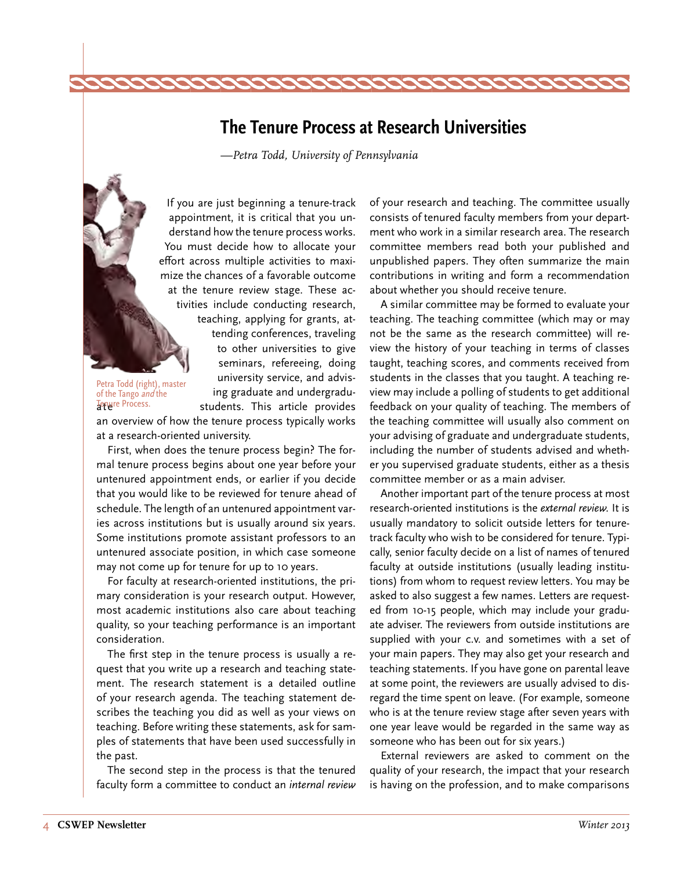## <span id="page-3-0"></span>**The Tenure Process at Research Universities**

*—Petra Todd, University of Pennsylvania*

If you are just beginning a tenure-track appointment, it is critical that you understand how the tenure process works. You must decide how to allocate your effort across multiple activities to maximize the chances of a favorable outcome at the tenure review stage. These activities include conducting research, teaching, applying for grants, attending conferences, traveling to other universities to give seminars, refereeing, doing university service, and advising graduate and undergradustudents. This article provides

Petra Todd (right), master of the Tango and the Tenure Process.

an overview of how the tenure process typically works at a research-oriented university.

First, when does the tenure process begin? The formal tenure process begins about one year before your untenured appointment ends, or earlier if you decide that you would like to be reviewed for tenure ahead of schedule. The length of an untenured appointment varies across institutions but is usually around six years. Some institutions promote assistant professors to an untenured associate position, in which case someone may not come up for tenure for up to 10 years.

For faculty at research-oriented institutions, the primary consideration is your research output. However, most academic institutions also care about teaching quality, so your teaching performance is an important consideration.

The first step in the tenure process is usually a request that you write up a research and teaching statement. The research statement is a detailed outline of your research agenda. The teaching statement describes the teaching you did as well as your views on teaching. Before writing these statements, ask for samples of statements that have been used successfully in the past.

The second step in the process is that the tenured faculty form a committee to conduct an *internal review*  of your research and teaching. The committee usually consists of tenured faculty members from your department who work in a similar research area. The research committee members read both your published and unpublished papers. They often summarize the main contributions in writing and form a recommendation about whether you should receive tenure.

A similar committee may be formed to evaluate your teaching. The teaching committee (which may or may not be the same as the research committee) will review the history of your teaching in terms of classes taught, teaching scores, and comments received from students in the classes that you taught. A teaching review may include a polling of students to get additional feedback on your quality of teaching. The members of the teaching committee will usually also comment on your advising of graduate and undergraduate students, including the number of students advised and whether you supervised graduate students, either as a thesis committee member or as a main adviser.

Another important part of the tenure process at most research-oriented institutions is the *external review.* It is usually mandatory to solicit outside letters for tenuretrack faculty who wish to be considered for tenure. Typically, senior faculty decide on a list of names of tenured faculty at outside institutions (usually leading institutions) from whom to request review letters. You may be asked to also suggest a few names. Letters are requested from 10-15 people, which may include your graduate adviser. The reviewers from outside institutions are supplied with your c.v. and sometimes with a set of your main papers. They may also get your research and teaching statements. If you have gone on parental leave at some point, the reviewers are usually advised to disregard the time spent on leave. (For example, someone who is at the tenure review stage after seven years with one year leave would be regarded in the same way as someone who has been out for six years.)

External reviewers are asked to comment on the quality of your research, the impact that your research is having on the profession, and to make comparisons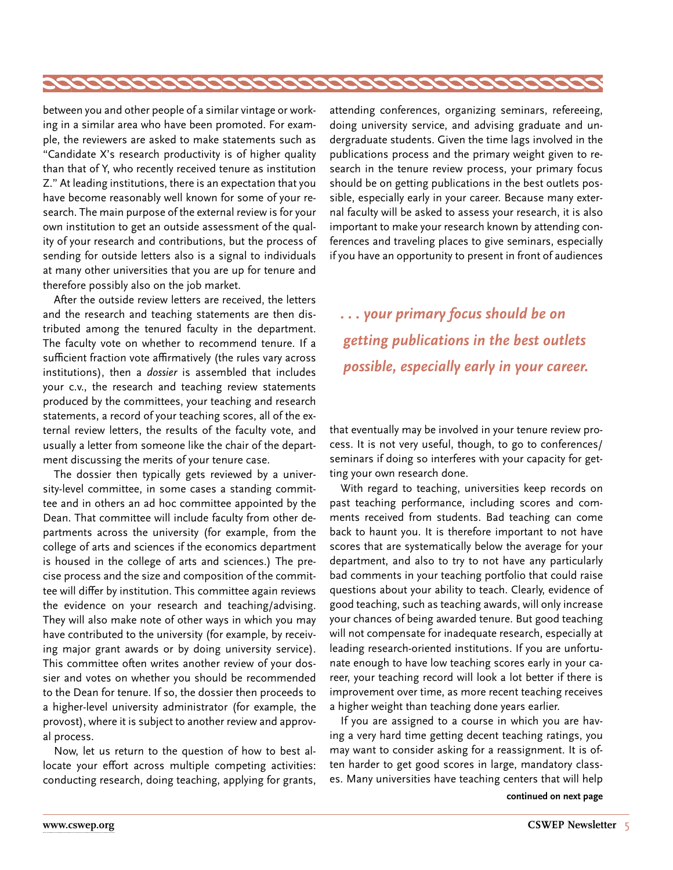between you and other people of a similar vintage or working in a similar area who have been promoted. For example, the reviewers are asked to make statements such as "Candidate X's research productivity is of higher quality than that of Y, who recently received tenure as institution Z." At leading institutions, there is an expectation that you have become reasonably well known for some of your research. The main purpose of the external review is for your own institution to get an outside assessment of the quality of your research and contributions, but the process of sending for outside letters also is a signal to individuals at many other universities that you are up for tenure and therefore possibly also on the job market.

After the outside review letters are received, the letters and the research and teaching statements are then distributed among the tenured faculty in the department. The faculty vote on whether to recommend tenure. If a sufficient fraction vote affirmatively (the rules vary across institutions), then a *dossier* is assembled that includes your c.v., the research and teaching review statements produced by the committees, your teaching and research statements, a record of your teaching scores, all of the external review letters, the results of the faculty vote, and usually a letter from someone like the chair of the department discussing the merits of your tenure case.

The dossier then typically gets reviewed by a university-level committee, in some cases a standing committee and in others an ad hoc committee appointed by the Dean. That committee will include faculty from other departments across the university (for example, from the college of arts and sciences if the economics department is housed in the college of arts and sciences.) The precise process and the size and composition of the committee will differ by institution. This committee again reviews the evidence on your research and teaching/advising. They will also make note of other ways in which you may have contributed to the university (for example, by receiving major grant awards or by doing university service). This committee often writes another review of your dossier and votes on whether you should be recommended to the Dean for tenure. If so, the dossier then proceeds to a higher-level university administrator (for example, the provost), where it is subject to another review and approval process.

Now, let us return to the question of how to best allocate your effort across multiple competing activities: conducting research, doing teaching, applying for grants, attending conferences, organizing seminars, refereeing, doing university service, and advising graduate and undergraduate students. Given the time lags involved in the publications process and the primary weight given to research in the tenure review process, your primary focus should be on getting publications in the best outlets possible, especially early in your career. Because many external faculty will be asked to assess your research, it is also important to make your research known by attending conferences and traveling places to give seminars, especially if you have an opportunity to present in front of audiences

*. . . your primary focus should be on getting publications in the best outlets possible, especially early in your career.* 

that eventually may be involved in your tenure review process. It is not very useful, though, to go to conferences/ seminars if doing so interferes with your capacity for getting your own research done.

With regard to teaching, universities keep records on past teaching performance, including scores and comments received from students. Bad teaching can come back to haunt you. It is therefore important to not have scores that are systematically below the average for your department, and also to try to not have any particularly bad comments in your teaching portfolio that could raise questions about your ability to teach. Clearly, evidence of good teaching, such as teaching awards, will only increase your chances of being awarded tenure. But good teaching will not compensate for inadequate research, especially at leading research-oriented institutions. If you are unfortunate enough to have low teaching scores early in your career, your teaching record will look a lot better if there is improvement over time, as more recent teaching receives a higher weight than teaching done years earlier.

If you are assigned to a course in which you are having a very hard time getting decent teaching ratings, you may want to consider asking for a reassignment. It is often harder to get good scores in large, mandatory classes. Many universities have teaching centers that will help

**continued on next page**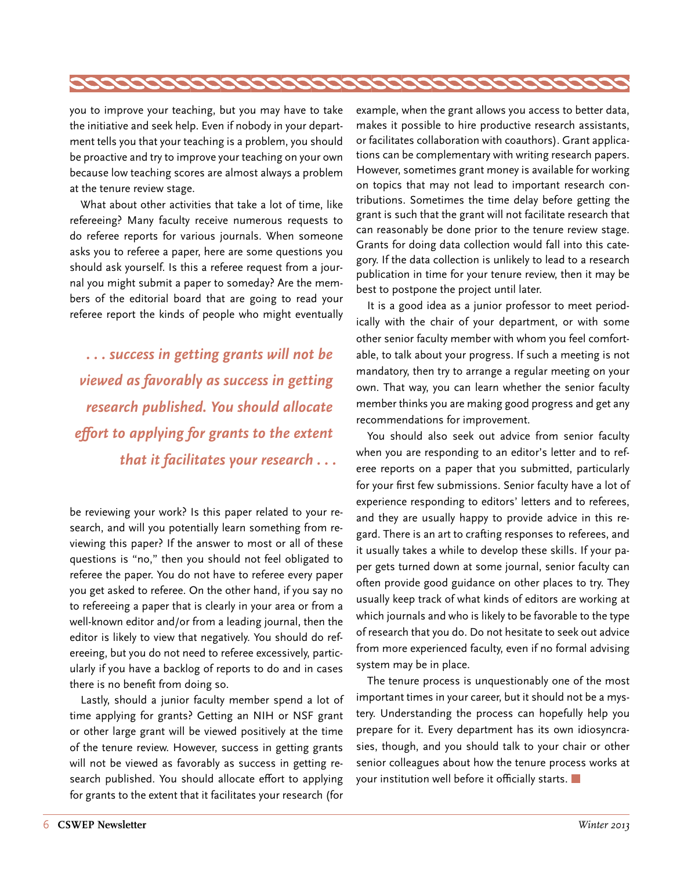

you to improve your teaching, but you may have to take the initiative and seek help. Even if nobody in your department tells you that your teaching is a problem, you should be proactive and try to improve your teaching on your own because low teaching scores are almost always a problem at the tenure review stage.

What about other activities that take a lot of time, like refereeing? Many faculty receive numerous requests to do referee reports for various journals. When someone asks you to referee a paper, here are some questions you should ask yourself. Is this a referee request from a journal you might submit a paper to someday? Are the members of the editorial board that are going to read your referee report the kinds of people who might eventually

*. . . success in getting grants will not be viewed as favorably as success in getting research published. You should allocate effort to applying for grants to the extent that it facilitates your research . . .*

be reviewing your work? Is this paper related to your research, and will you potentially learn something from reviewing this paper? If the answer to most or all of these questions is "no," then you should not feel obligated to referee the paper. You do not have to referee every paper you get asked to referee. On the other hand, if you say no to refereeing a paper that is clearly in your area or from a well-known editor and/or from a leading journal, then the editor is likely to view that negatively. You should do refereeing, but you do not need to referee excessively, particularly if you have a backlog of reports to do and in cases there is no benefit from doing so.

Lastly, should a junior faculty member spend a lot of time applying for grants? Getting an NIH or NSF grant or other large grant will be viewed positively at the time of the tenure review. However, success in getting grants will not be viewed as favorably as success in getting research published. You should allocate effort to applying for grants to the extent that it facilitates your research (for

example, when the grant allows you access to better data, makes it possible to hire productive research assistants, or facilitates collaboration with coauthors). Grant applications can be complementary with writing research papers. However, sometimes grant money is available for working on topics that may not lead to important research contributions. Sometimes the time delay before getting the grant is such that the grant will not facilitate research that can reasonably be done prior to the tenure review stage. Grants for doing data collection would fall into this category. If the data collection is unlikely to lead to a research publication in time for your tenure review, then it may be best to postpone the project until later.

It is a good idea as a junior professor to meet periodically with the chair of your department, or with some other senior faculty member with whom you feel comfortable, to talk about your progress. If such a meeting is not mandatory, then try to arrange a regular meeting on your own. That way, you can learn whether the senior faculty member thinks you are making good progress and get any recommendations for improvement.

You should also seek out advice from senior faculty when you are responding to an editor's letter and to referee reports on a paper that you submitted, particularly for your first few submissions. Senior faculty have a lot of experience responding to editors' letters and to referees, and they are usually happy to provide advice in this regard. There is an art to crafting responses to referees, and it usually takes a while to develop these skills. If your paper gets turned down at some journal, senior faculty can often provide good guidance on other places to try. They usually keep track of what kinds of editors are working at which journals and who is likely to be favorable to the type of research that you do. Do not hesitate to seek out advice from more experienced faculty, even if no formal advising system may be in place.

The tenure process is unquestionably one of the most important times in your career, but it should not be a mystery. Understanding the process can hopefully help you prepare for it. Every department has its own idiosyncrasies, though, and you should talk to your chair or other senior colleagues about how the tenure process works at your institution well before it officially starts.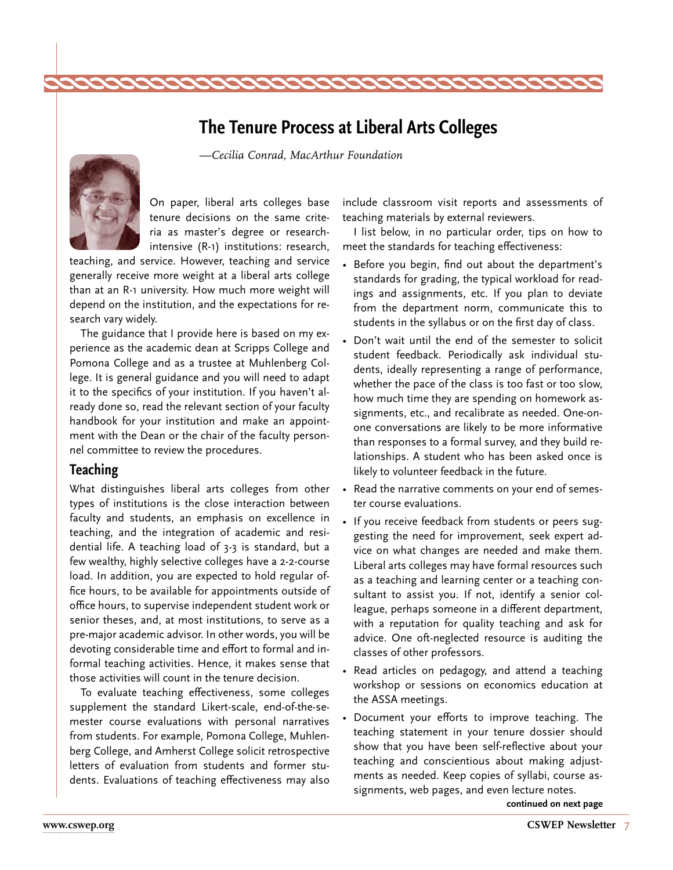# **The Tenure Process at Liberal Arts Colleges**

*—Cecilia Conrad, MacArthur Foundation*

<span id="page-6-0"></span>

On paper, liberal arts colleges base tenure decisions on the same criteria as master's degree or researchintensive (R-1) institutions: research,

teaching, and service. However, teaching and service generally receive more weight at a liberal arts college than at an R-1 university. How much more weight will depend on the institution, and the expectations for research vary widely.

The guidance that I provide here is based on my experience as the academic dean at Scripps College and Pomona College and as a trustee at Muhlenberg College. It is general guidance and you will need to adapt it to the specifics of your institution. If you haven't already done so, read the relevant section of your faculty handbook for your institution and make an appointment with the Dean or the chair of the faculty personnel committee to review the procedures.

#### **Teaching**

What distinguishes liberal arts colleges from other types of institutions is the close interaction between faculty and students, an emphasis on excellence in teaching, and the integration of academic and residential life. A teaching load of 3-3 is standard, but a few wealthy, highly selective colleges have a 2-2-course load. In addition, you are expected to hold regular office hours, to be available for appointments outside of office hours, to supervise independent student work or senior theses, and, at most institutions, to serve as a pre-major academic advisor. In other words, you will be devoting considerable time and effort to formal and informal teaching activities. Hence, it makes sense that those activities will count in the tenure decision.

To evaluate teaching effectiveness, some colleges supplement the standard Likert-scale, end-of-the-semester course evaluations with personal narratives from students. For example, Pomona College, Muhlenberg College, and Amherst College solicit retrospective letters of evaluation from students and former students. Evaluations of teaching effectiveness may also

include classroom visit reports and assessments of teaching materials by external reviewers.

I list below, in no particular order, tips on how to meet the standards for teaching effectiveness:

- • Before you begin, find out about the department's standards for grading, the typical workload for readings and assignments, etc. If you plan to deviate from the department norm, communicate this to students in the syllabus or on the first day of class.
- Don't wait until the end of the semester to solicit student feedback. Periodically ask individual students, ideally representing a range of performance, whether the pace of the class is too fast or too slow, how much time they are spending on homework assignments, etc., and recalibrate as needed. One-onone conversations are likely to be more informative than responses to a formal survey, and they build relationships. A student who has been asked once is likely to volunteer feedback in the future.
- Read the narrative comments on your end of semester course evaluations.
- If you receive feedback from students or peers suggesting the need for improvement, seek expert advice on what changes are needed and make them. Liberal arts colleges may have formal resources such as a teaching and learning center or a teaching consultant to assist you. If not, identify a senior colleague, perhaps someone in a different department, with a reputation for quality teaching and ask for advice. One oft-neglected resource is auditing the classes of other professors.
- Read articles on pedagogy, and attend a teaching workshop or sessions on economics education at the ASSA meetings.
- • Document your efforts to improve teaching. The teaching statement in your tenure dossier should show that you have been self-reflective about your teaching and conscientious about making adjustments as needed. Keep copies of syllabi, course assignments, web pages, and even lecture notes.

**continued on next page**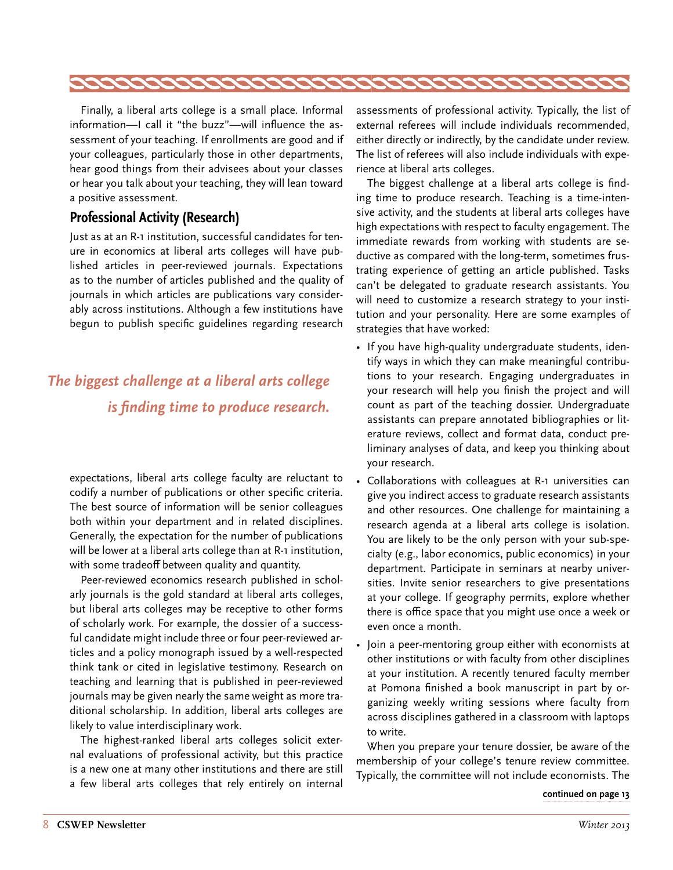<span id="page-7-0"></span>

Finally, a liberal arts college is a small place. Informal information—I call it "the buzz"—will influence the assessment of your teaching. If enrollments are good and if your colleagues, particularly those in other departments, hear good things from their advisees about your classes or hear you talk about your teaching, they will lean toward a positive assessment.

#### **Professional Activity (Research)**

Just as at an R-1 institution, successful candidates for tenure in economics at liberal arts colleges will have published articles in peer-reviewed journals. Expectations as to the number of articles published and the quality of journals in which articles are publications vary considerably across institutions. Although a few institutions have begun to publish specific guidelines regarding research

# *The biggest challenge at a liberal arts college is finding time to produce research.*

expectations, liberal arts college faculty are reluctant to codify a number of publications or other specific criteria. The best source of information will be senior colleagues both within your department and in related disciplines. Generally, the expectation for the number of publications will be lower at a liberal arts college than at R-1 institution, with some tradeoff between quality and quantity.

Peer-reviewed economics research published in scholarly journals is the gold standard at liberal arts colleges, but liberal arts colleges may be receptive to other forms of scholarly work. For example, the dossier of a successful candidate might include three or four peer-reviewed articles and a policy monograph issued by a well-respected think tank or cited in legislative testimony. Research on teaching and learning that is published in peer-reviewed journals may be given nearly the same weight as more traditional scholarship. In addition, liberal arts colleges are likely to value interdisciplinary work.

The highest-ranked liberal arts colleges solicit external evaluations of professional activity, but this practice is a new one at many other institutions and there are still a few liberal arts colleges that rely entirely on internal

assessments of professional activity. Typically, the list of external referees will include individuals recommended, either directly or indirectly, by the candidate under review. The list of referees will also include individuals with experience at liberal arts colleges.

The biggest challenge at a liberal arts college is finding time to produce research. Teaching is a time-intensive activity, and the students at liberal arts colleges have high expectations with respect to faculty engagement. The immediate rewards from working with students are seductive as compared with the long-term, sometimes frustrating experience of getting an article published. Tasks can't be delegated to graduate research assistants. You will need to customize a research strategy to your institution and your personality. Here are some examples of strategies that have worked:

- If you have high-quality undergraduate students, identify ways in which they can make meaningful contributions to your research. Engaging undergraduates in your research will help you finish the project and will count as part of the teaching dossier. Undergraduate assistants can prepare annotated bibliographies or literature reviews, collect and format data, conduct preliminary analyses of data, and keep you thinking about your research.
- Collaborations with colleagues at R-1 universities can give you indirect access to graduate research assistants and other resources. One challenge for maintaining a research agenda at a liberal arts college is isolation. You are likely to be the only person with your sub-specialty (e.g., labor economics, public economics) in your department. Participate in seminars at nearby universities. Invite senior researchers to give presentations at your college. If geography permits, explore whether there is office space that you might use once a week or even once a month.
- Join a peer-mentoring group either with economists at other institutions or with faculty from other disciplines at your institution. A recently tenured faculty member at Pomona finished a book manuscript in part by organizing weekly writing sessions where faculty from across disciplines gathered in a classroom with laptops to write.

When you prepare your tenure dossier, be aware of the membership of your college's tenure review committee. Typically, the committee will not include economists. The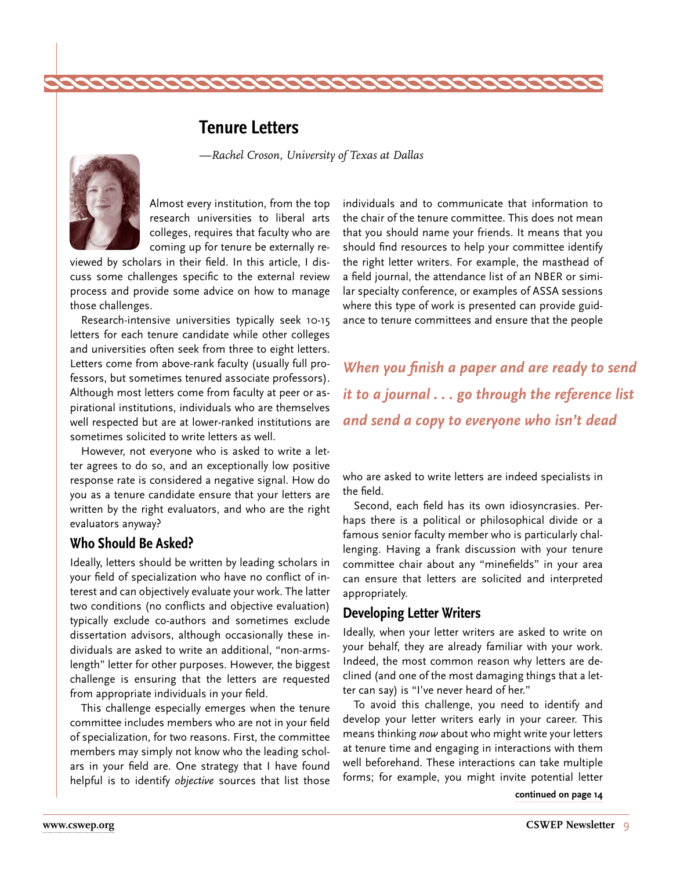### **Tenure Letters**

*—Rachel Croson, University of Texas at Dallas*

<span id="page-8-0"></span>

Almost every institution, from the top research universities to liberal arts colleges, requires that faculty who are coming up for tenure be externally re-

viewed by scholars in their field. In this article, I discuss some challenges specific to the external review process and provide some advice on how to manage those challenges.

Research-intensive universities typically seek 10-15 letters for each tenure candidate while other colleges and universities often seek from three to eight letters. Letters come from above-rank faculty (usually full professors, but sometimes tenured associate professors). Although most letters come from faculty at peer or aspirational institutions, individuals who are themselves well respected but are at lower-ranked institutions are sometimes solicited to write letters as well.

However, not everyone who is asked to write a letter agrees to do so, and an exceptionally low positive response rate is considered a negative signal. How do you as a tenure candidate ensure that your letters are written by the right evaluators, and who are the right evaluators anyway?

#### **Who Should Be Asked?**

Ideally, letters should be written by leading scholars in your field of specialization who have no conflict of interest and can objectively evaluate your work. The latter two conditions (no conflicts and objective evaluation) typically exclude co-authors and sometimes exclude dissertation advisors, although occasionally these individuals are asked to write an additional, "non-armslength" letter for other purposes. However, the biggest challenge is ensuring that the letters are requested from appropriate individuals in your field.

This challenge especially emerges when the tenure committee includes members who are not in your field of specialization, for two reasons. First, the committee members may simply not know who the leading scholars in your field are. One strategy that I have found helpful is to identify *objective* sources that list those individuals and to communicate that information to the chair of the tenure committee. This does not mean that you should name your friends. It means that you should find resources to help your committee identify the right letter writers. For example, the masthead of a field journal, the attendance list of an NBER or similar specialty conference, or examples of ASSA sessions where this type of work is presented can provide guidance to tenure committees and ensure that the people

*When you finish a paper and are ready to send it to a journal . . . go through the reference list and send a copy to everyone who isn't dead*

who are asked to write letters are indeed specialists in the field.

Second, each field has its own idiosyncrasies. Perhaps there is a political or philosophical divide or a famous senior faculty member who is particularly challenging. Having a frank discussion with your tenure committee chair about any "minefields" in your area can ensure that letters are solicited and interpreted appropriately.

#### **Developing Letter Writers**

Ideally, when your letter writers are asked to write on your behalf, they are already familiar with your work. Indeed, the most common reason why letters are declined (and one of the most damaging things that a letter can say) is "I've never heard of her."

To avoid this challenge, you need to identify and develop your letter writers early in your career. This means thinking *now* about who might write your letters at tenure time and engaging in interactions with them well beforehand. These interactions can take multiple forms; for example, you might invite potential letter

**[continued on page 14](#page-13-0)**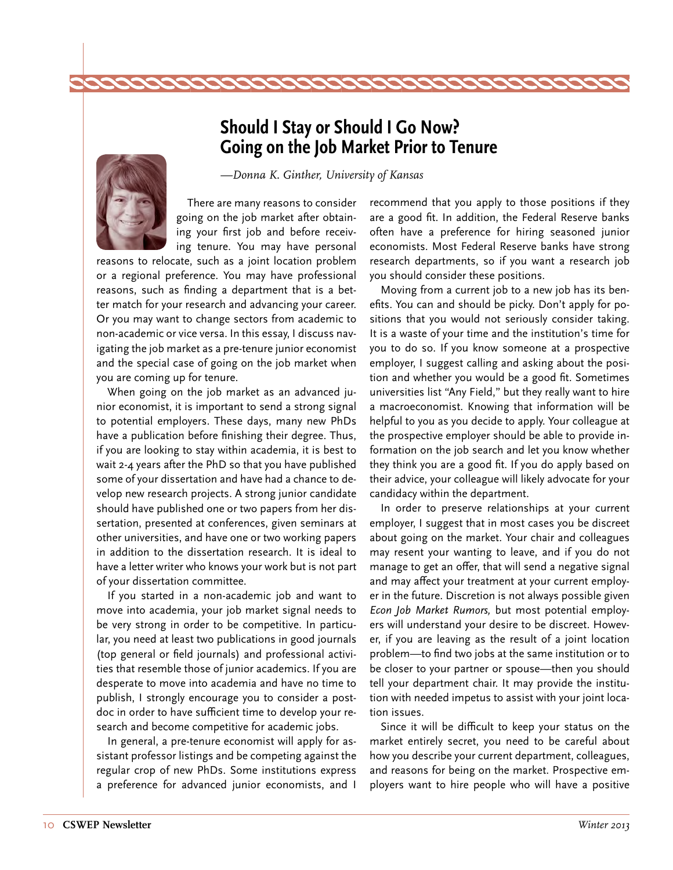# **Should I Stay or Should I Go Now? Going on the Job Market Prior to Tenure**

<span id="page-9-0"></span>

*—Donna K. Ginther, University of Kansas*

There are many reasons to consider going on the job market after obtaining your first job and before receiving tenure. You may have personal

reasons to relocate, such as a joint location problem or a regional preference. You may have professional reasons, such as finding a department that is a better match for your research and advancing your career. Or you may want to change sectors from academic to non-academic or vice versa. In this essay, I discuss navigating the job market as a pre-tenure junior economist and the special case of going on the job market when you are coming up for tenure.

When going on the job market as an advanced junior economist, it is important to send a strong signal to potential employers. These days, many new PhDs have a publication before finishing their degree. Thus, if you are looking to stay within academia, it is best to wait 2-4 years after the PhD so that you have published some of your dissertation and have had a chance to develop new research projects. A strong junior candidate should have published one or two papers from her dissertation, presented at conferences, given seminars at other universities, and have one or two working papers in addition to the dissertation research. It is ideal to have a letter writer who knows your work but is not part of your dissertation committee.

If you started in a non-academic job and want to move into academia, your job market signal needs to be very strong in order to be competitive. In particular, you need at least two publications in good journals (top general or field journals) and professional activities that resemble those of junior academics. If you are desperate to move into academia and have no time to publish, I strongly encourage you to consider a postdoc in order to have sufficient time to develop your research and become competitive for academic jobs.

In general, a pre-tenure economist will apply for assistant professor listings and be competing against the regular crop of new PhDs. Some institutions express a preference for advanced junior economists, and I

recommend that you apply to those positions if they are a good fit. In addition, the Federal Reserve banks often have a preference for hiring seasoned junior economists. Most Federal Reserve banks have strong research departments, so if you want a research job you should consider these positions.

Moving from a current job to a new job has its benefits. You can and should be picky. Don't apply for positions that you would not seriously consider taking. It is a waste of your time and the institution's time for you to do so. If you know someone at a prospective employer, I suggest calling and asking about the position and whether you would be a good fit. Sometimes universities list "Any Field," but they really want to hire a macroeconomist. Knowing that information will be helpful to you as you decide to apply. Your colleague at the prospective employer should be able to provide information on the job search and let you know whether they think you are a good fit. If you do apply based on their advice, your colleague will likely advocate for your candidacy within the department.

In order to preserve relationships at your current employer, I suggest that in most cases you be discreet about going on the market. Your chair and colleagues may resent your wanting to leave, and if you do not manage to get an offer, that will send a negative signal and may affect your treatment at your current employer in the future. Discretion is not always possible given *Econ Job Market Rumors,* but most potential employers will understand your desire to be discreet. However, if you are leaving as the result of a joint location problem—to find two jobs at the same institution or to be closer to your partner or spouse—then you should tell your department chair. It may provide the institution with needed impetus to assist with your joint location issues.

Since it will be difficult to keep your status on the market entirely secret, you need to be careful about how you describe your current department, colleagues, and reasons for being on the market. Prospective employers want to hire people who will have a positive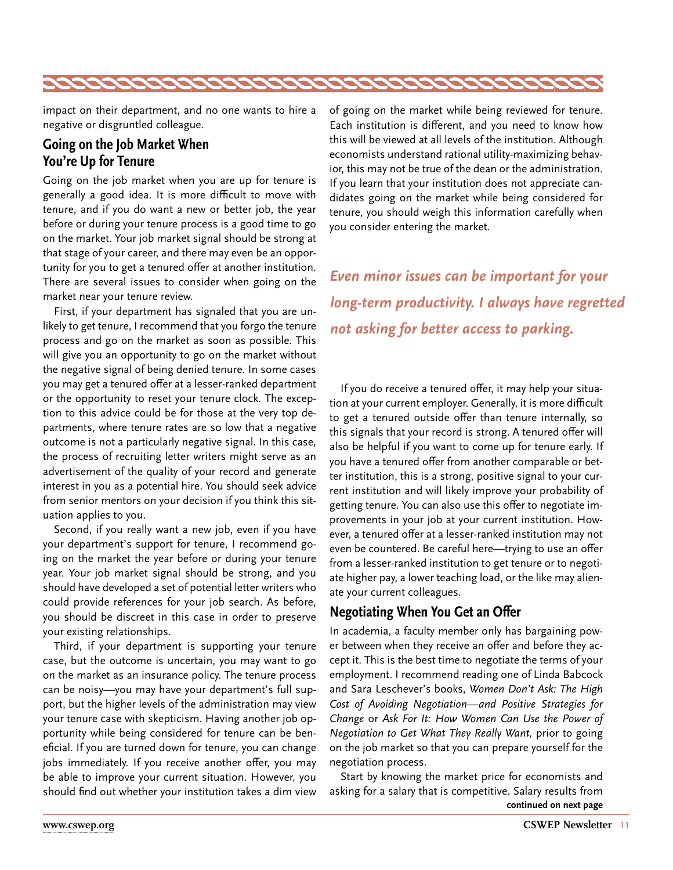

impact on their department, and no one wants to hire a negative or disgruntled colleague.

#### **Going on the Job Market When You're Up for Tenure**

Going on the job market when you are up for tenure is generally a good idea. It is more difficult to move with tenure, and if you do want a new or better job, the year before or during your tenure process is a good time to go on the market. Your job market signal should be strong at that stage of your career, and there may even be an opportunity for you to get a tenured offer at another institution. There are several issues to consider when going on the market near your tenure review.

First, if your department has signaled that you are unlikely to get tenure, I recommend that you forgo the tenure process and go on the market as soon as possible. This will give you an opportunity to go on the market without the negative signal of being denied tenure. In some cases you may get a tenured offer at a lesser-ranked department or the opportunity to reset your tenure clock. The exception to this advice could be for those at the very top departments, where tenure rates are so low that a negative outcome is not a particularly negative signal. In this case, the process of recruiting letter writers might serve as an advertisement of the quality of your record and generate interest in you as a potential hire. You should seek advice from senior mentors on your decision if you think this situation applies to you.

Second, if you really want a new job, even if you have your department's support for tenure, I recommend going on the market the year before or during your tenure year. Your job market signal should be strong, and you should have developed a set of potential letter writers who could provide references for your job search. As before, you should be discreet in this case in order to preserve your existing relationships.

Third, if your department is supporting your tenure case, but the outcome is uncertain, you may want to go on the market as an insurance policy. The tenure process can be noisy—you may have your department's full support, but the higher levels of the administration may view your tenure case with skepticism. Having another job opportunity while being considered for tenure can be beneficial. If you are turned down for tenure, you can change jobs immediately. If you receive another offer, you may be able to improve your current situation. However, you should find out whether your institution takes a dim view of going on the market while being reviewed for tenure. Each institution is different, and you need to know how this will be viewed at all levels of the institution. Although economists understand rational utility-maximizing behavior, this may not be true of the dean or the administration. If you learn that your institution does not appreciate candidates going on the market while being considered for tenure, you should weigh this information carefully when you consider entering the market.

*Even minor issues can be important for your long-term productivity. I always have regretted not asking for better access to parking.* 

If you do receive a tenured offer, it may help your situation at your current employer. Generally, it is more difficult to get a tenured outside offer than tenure internally, so this signals that your record is strong. A tenured offer will also be helpful if you want to come up for tenure early. If you have a tenured offer from another comparable or better institution, this is a strong, positive signal to your current institution and will likely improve your probability of getting tenure. You can also use this offer to negotiate improvements in your job at your current institution. However, a tenured offer at a lesser-ranked institution may not even be countered. Be careful here—trying to use an offer from a lesser-ranked institution to get tenure or to negotiate higher pay, a lower teaching load, or the like may alienate your current colleagues.

#### **Negotiating When You Get an Offer**

In academia, a faculty member only has bargaining power between when they receive an offer and before they accept it. This is the best time to negotiate the terms of your employment. I recommend reading one of Linda Babcock and Sara Leschever's books, *Women Don't Ask: The High Cost of Avoiding Negotiation—and Positive Strategies for Change* or *Ask For It: How Women Can Use the Power of Negotiation to Get What They Really Want,* prior to going on the job market so that you can prepare yourself for the negotiation process.

Start by knowing the market price for economists and asking for a salary that is competitive. Salary results from **continued on next page**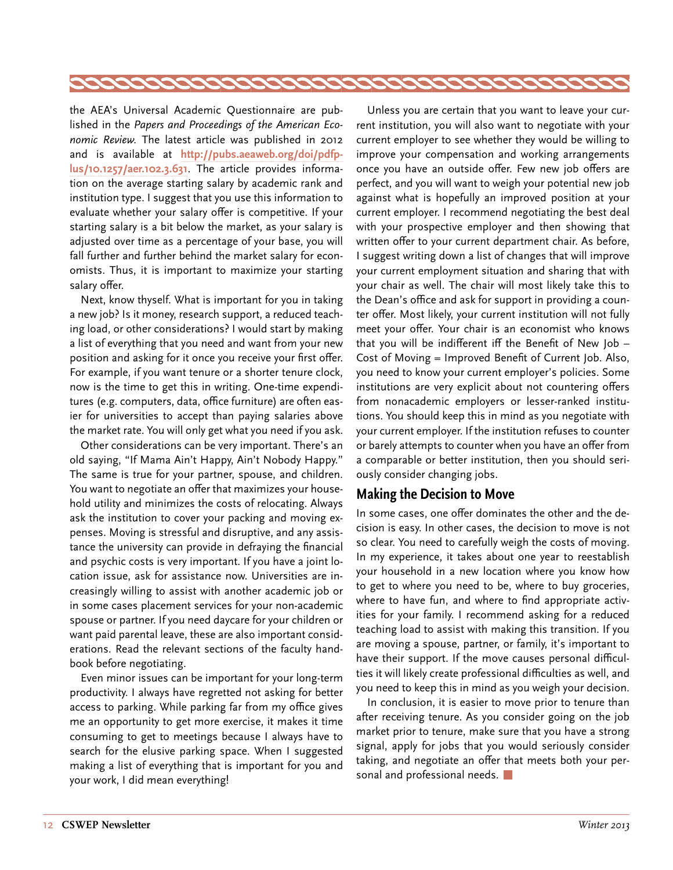

the AEA's Universal Academic Questionnaire are published in the *Papers and Proceedings of the American Economic Review.* The latest article was published in 2012 and is available at **[http://pubs.aeaweb.org/doi/pdfp](http://pubs.aeaweb.org/doi/pdfplus/10.1257/aer.102.3.631)[lus/10.1257/aer.102.3.631](http://pubs.aeaweb.org/doi/pdfplus/10.1257/aer.102.3.631)**. The article provides information on the average starting salary by academic rank and institution type. I suggest that you use this information to evaluate whether your salary offer is competitive. If your starting salary is a bit below the market, as your salary is adjusted over time as a percentage of your base, you will fall further and further behind the market salary for economists. Thus, it is important to maximize your starting salary offer.

Next, know thyself. What is important for you in taking a new job? Is it money, research support, a reduced teaching load, or other considerations? I would start by making a list of everything that you need and want from your new position and asking for it once you receive your first offer. For example, if you want tenure or a shorter tenure clock, now is the time to get this in writing. One-time expenditures (e.g. computers, data, office furniture) are often easier for universities to accept than paying salaries above the market rate. You will only get what you need if you ask.

Other considerations can be very important. There's an old saying, "If Mama Ain't Happy, Ain't Nobody Happy." The same is true for your partner, spouse, and children. You want to negotiate an offer that maximizes your household utility and minimizes the costs of relocating. Always ask the institution to cover your packing and moving expenses. Moving is stressful and disruptive, and any assistance the university can provide in defraying the financial and psychic costs is very important. If you have a joint location issue, ask for assistance now. Universities are increasingly willing to assist with another academic job or in some cases placement services for your non-academic spouse or partner. If you need daycare for your children or want paid parental leave, these are also important considerations. Read the relevant sections of the faculty handbook before negotiating.

Even minor issues can be important for your long-term productivity. I always have regretted not asking for better access to parking. While parking far from my office gives me an opportunity to get more exercise, it makes it time consuming to get to meetings because I always have to search for the elusive parking space. When I suggested making a list of everything that is important for you and your work, I did mean everything!

Unless you are certain that you want to leave your current institution, you will also want to negotiate with your current employer to see whether they would be willing to improve your compensation and working arrangements once you have an outside offer. Few new job offers are perfect, and you will want to weigh your potential new job against what is hopefully an improved position at your current employer. I recommend negotiating the best deal with your prospective employer and then showing that written offer to your current department chair. As before, I suggest writing down a list of changes that will improve your current employment situation and sharing that with your chair as well. The chair will most likely take this to the Dean's office and ask for support in providing a counter offer. Most likely, your current institution will not fully meet your offer. Your chair is an economist who knows that you will be indifferent iff the Benefit of New Job – Cost of Moving = Improved Benefit of Current Job. Also, you need to know your current employer's policies. Some institutions are very explicit about not countering offers from nonacademic employers or lesser-ranked institutions. You should keep this in mind as you negotiate with your current employer. If the institution refuses to counter or barely attempts to counter when you have an offer from a comparable or better institution, then you should seriously consider changing jobs.

#### **Making the Decision to Move**

In some cases, one offer dominates the other and the decision is easy. In other cases, the decision to move is not so clear. You need to carefully weigh the costs of moving. In my experience, it takes about one year to reestablish your household in a new location where you know how to get to where you need to be, where to buy groceries, where to have fun, and where to find appropriate activities for your family. I recommend asking for a reduced teaching load to assist with making this transition. If you are moving a spouse, partner, or family, it's important to have their support. If the move causes personal difficulties it will likely create professional difficulties as well, and you need to keep this in mind as you weigh your decision.

In conclusion, it is easier to move prior to tenure than after receiving tenure. As you consider going on the job market prior to tenure, make sure that you have a strong signal, apply for jobs that you would seriously consider taking, and negotiate an offer that meets both your personal and professional needs.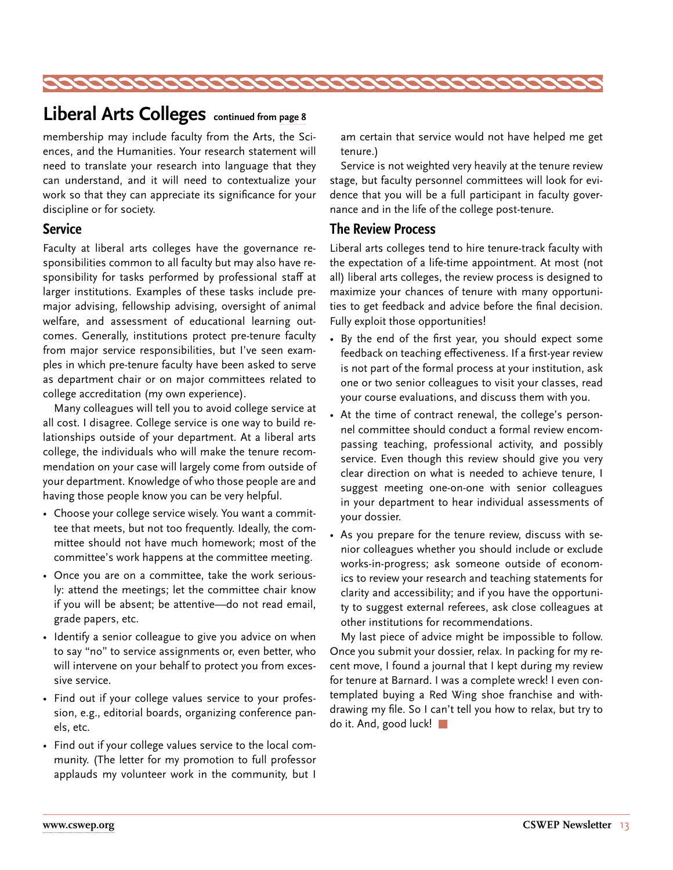<span id="page-12-0"></span>

# **Liberal Arts Colleges continued from [page 8](#page-7-0)**

membership may include faculty from the Arts, the Sciences, and the Humanities. Your research statement will need to translate your research into language that they can understand, and it will need to contextualize your work so that they can appreciate its significance for your discipline or for society.

#### **Service**

Faculty at liberal arts colleges have the governance responsibilities common to all faculty but may also have responsibility for tasks performed by professional staff at larger institutions. Examples of these tasks include premajor advising, fellowship advising, oversight of animal welfare, and assessment of educational learning outcomes. Generally, institutions protect pre-tenure faculty from major service responsibilities, but I've seen examples in which pre-tenure faculty have been asked to serve as department chair or on major committees related to college accreditation (my own experience).

Many colleagues will tell you to avoid college service at all cost. I disagree. College service is one way to build relationships outside of your department. At a liberal arts college, the individuals who will make the tenure recommendation on your case will largely come from outside of your department. Knowledge of who those people are and having those people know you can be very helpful.

- Choose your college service wisely. You want a committee that meets, but not too frequently. Ideally, the committee should not have much homework; most of the committee's work happens at the committee meeting.
- Once you are on a committee, take the work seriously: attend the meetings; let the committee chair know if you will be absent; be attentive—do not read email, grade papers, etc.
- Identify a senior colleague to give you advice on when to say "no" to service assignments or, even better, who will intervene on your behalf to protect you from excessive service.
- Find out if your college values service to your profession, e.g., editorial boards, organizing conference panels, etc.
- Find out if your college values service to the local community. (The letter for my promotion to full professor applauds my volunteer work in the community, but I

am certain that service would not have helped me get tenure.)

Service is not weighted very heavily at the tenure review stage, but faculty personnel committees will look for evidence that you will be a full participant in faculty governance and in the life of the college post-tenure.

#### **The Review Process**

Liberal arts colleges tend to hire tenure-track faculty with the expectation of a life-time appointment. At most (not all) liberal arts colleges, the review process is designed to maximize your chances of tenure with many opportunities to get feedback and advice before the final decision. Fully exploit those opportunities!

- By the end of the first year, you should expect some feedback on teaching effectiveness. If a first-year review is not part of the formal process at your institution, ask one or two senior colleagues to visit your classes, read your course evaluations, and discuss them with you.
- At the time of contract renewal, the college's personnel committee should conduct a formal review encompassing teaching, professional activity, and possibly service. Even though this review should give you very clear direction on what is needed to achieve tenure, I suggest meeting one-on-one with senior colleagues in your department to hear individual assessments of your dossier.
- As you prepare for the tenure review, discuss with senior colleagues whether you should include or exclude works-in-progress; ask someone outside of economics to review your research and teaching statements for clarity and accessibility; and if you have the opportunity to suggest external referees, ask close colleagues at other institutions for recommendations.

My last piece of advice might be impossible to follow. Once you submit your dossier, relax. In packing for my recent move, I found a journal that I kept during my review for tenure at Barnard. I was a complete wreck! I even contemplated buying a Red Wing shoe franchise and withdrawing my file. So I can't tell you how to relax, but try to do it. And, good luck!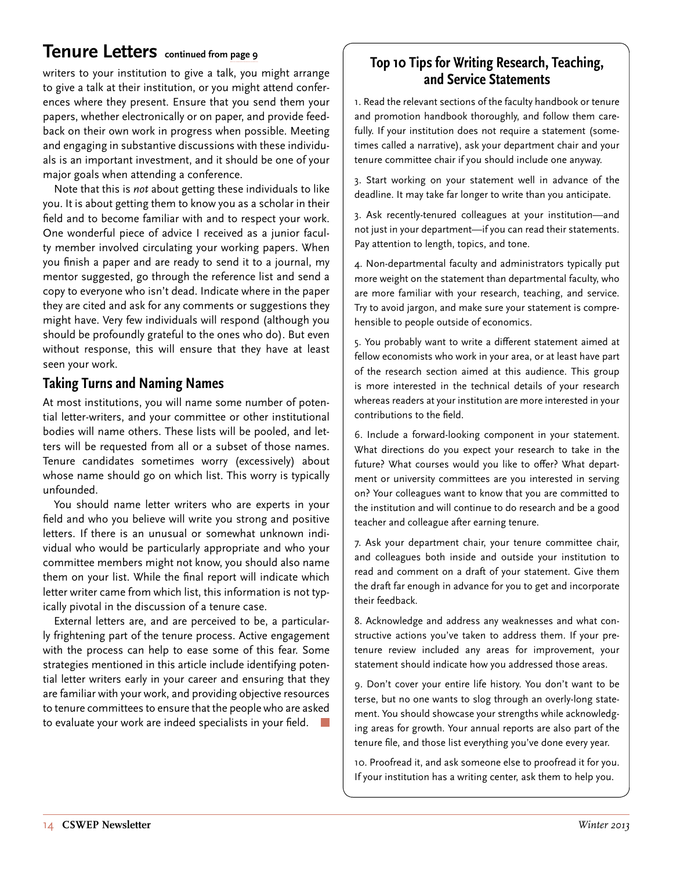# <span id="page-13-0"></span>**Tenure Letters** continued from [page 9](#page-8-0)<br> **Top 10 Tips for Writing Research, Teaching,**

writers to your institution to give a talk, you might arrange to give a talk at their institution, or you might attend conferences where they present. Ensure that you send them your papers, whether electronically or on paper, and provide feedback on their own work in progress when possible. Meeting and engaging in substantive discussions with these individuals is an important investment, and it should be one of your major goals when attending a conference.

Note that this is *not* about getting these individuals to like you. It is about getting them to know you as a scholar in their field and to become familiar with and to respect your work. One wonderful piece of advice I received as a junior faculty member involved circulating your working papers. When you finish a paper and are ready to send it to a journal, my mentor suggested, go through the reference list and send a copy to everyone who isn't dead. Indicate where in the paper they are cited and ask for any comments or suggestions they might have. Very few individuals will respond (although you should be profoundly grateful to the ones who do). But even without response, this will ensure that they have at least seen your work.

#### **Taking Turns and Naming Names**

At most institutions, you will name some number of potential letter-writers, and your committee or other institutional bodies will name others. These lists will be pooled, and letters will be requested from all or a subset of those names. Tenure candidates sometimes worry (excessively) about whose name should go on which list. This worry is typically unfounded.

You should name letter writers who are experts in your field and who you believe will write you strong and positive letters. If there is an unusual or somewhat unknown individual who would be particularly appropriate and who your committee members might not know, you should also name them on your list. While the final report will indicate which letter writer came from which list, this information is not typically pivotal in the discussion of a tenure case.

External letters are, and are perceived to be, a particularly frightening part of the tenure process. Active engagement with the process can help to ease some of this fear. Some strategies mentioned in this article include identifying potential letter writers early in your career and ensuring that they are familiar with your work, and providing objective resources to tenure committees to ensure that the people who are asked to evaluate your work are indeed specialists in your field.

# **and Service Statements**

1. Read the relevant sections of the faculty handbook or tenure and promotion handbook thoroughly, and follow them carefully. If your institution does not require a statement (sometimes called a narrative), ask your department chair and your tenure committee chair if you should include one anyway.

3. Start working on your statement well in advance of the deadline. It may take far longer to write than you anticipate.

3. Ask recently-tenured colleagues at your institution—and not just in your department—if you can read their statements. Pay attention to length, topics, and tone.

4. Non-departmental faculty and administrators typically put more weight on the statement than departmental faculty, who are more familiar with your research, teaching, and service. Try to avoid jargon, and make sure your statement is comprehensible to people outside of economics.

5. You probably want to write a different statement aimed at fellow economists who work in your area, or at least have part of the research section aimed at this audience. This group is more interested in the technical details of your research whereas readers at your institution are more interested in your contributions to the field.

6. Include a forward-looking component in your statement. What directions do you expect your research to take in the future? What courses would you like to offer? What department or university committees are you interested in serving on? Your colleagues want to know that you are committed to the institution and will continue to do research and be a good teacher and colleague after earning tenure.

7. Ask your department chair, your tenure committee chair, and colleagues both inside and outside your institution to read and comment on a draft of your statement. Give them the draft far enough in advance for you to get and incorporate their feedback.

8. Acknowledge and address any weaknesses and what constructive actions you've taken to address them. If your pretenure review included any areas for improvement, your statement should indicate how you addressed those areas.

9. Don't cover your entire life history. You don't want to be terse, but no one wants to slog through an overly-long statement. You should showcase your strengths while acknowledging areas for growth. Your annual reports are also part of the tenure file, and those list everything you've done every year.

10. Proofread it, and ask someone else to proofread it for you. If your institution has a writing center, ask them to help you.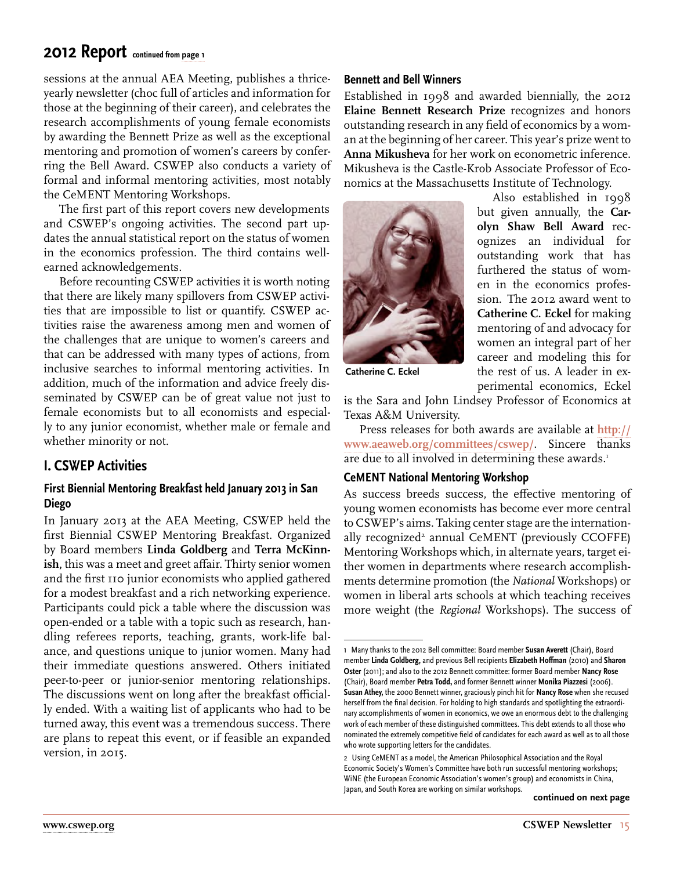### <span id="page-14-0"></span>**2012 Report continued from [page 1](#page-0-0)**

sessions at the annual AEA Meeting, publishes a thriceyearly newsletter (choc full of articles and information for those at the beginning of their career), and celebrates the research accomplishments of young female economists by awarding the Bennett Prize as well as the exceptional mentoring and promotion of women's careers by conferring the Bell Award. CSWEP also conducts a variety of formal and informal mentoring activities, most notably the CeMENT Mentoring Workshops.

The first part of this report covers new developments and CSWEP's ongoing activities. The second part updates the annual statistical report on the status of women in the economics profession. The third contains wellearned acknowledgements.

Before recounting CSWEP activities it is worth noting that there are likely many spillovers from CSWEP activities that are impossible to list or quantify. CSWEP activities raise the awareness among men and women of the challenges that are unique to women's careers and that can be addressed with many types of actions, from inclusive searches to informal mentoring activities. In addition, much of the information and advice freely disseminated by CSWEP can be of great value not just to female economists but to all economists and especially to any junior economist, whether male or female and whether minority or not.

#### **I. CSWEP Activities**

#### **First Biennial Mentoring Breakfast held January 2013 in San Diego**

In January 2013 at the AEA Meeting, CSWEP held the first Biennial CSWEP Mentoring Breakfast. Organized by Board members **Linda Goldberg** and **Terra McKinnish,** this was a meet and greet affair. Thirty senior women and the first 110 junior economists who applied gathered for a modest breakfast and a rich networking experience. Participants could pick a table where the discussion was open-ended or a table with a topic such as research, handling referees reports, teaching, grants, work-life balance, and questions unique to junior women. Many had their immediate questions answered. Others initiated peer-to-peer or junior-senior mentoring relationships. The discussions went on long after the breakfast officially ended. With a waiting list of applicants who had to be turned away, this event was a tremendous success. There are plans to repeat this event, or if feasible an expanded version, in 2015.

#### **Bennett and Bell Winners**

Established in 1998 and awarded biennially, the 2012 **Elaine Bennett Research Prize** recognizes and honors outstanding research in any field of economics by a woman at the beginning of her career. This year's prize went to **Anna Mikusheva** for her work on econometric inference. Mikusheva is the Castle-Krob Associate Professor of Economics at the Massachusetts Institute of Technology.



Also established in 1998 but given annually, the **Carolyn Shaw Bell Award** recognizes an individual for outstanding work that has furthered the status of women in the economics profession. The 2012 award went to **Catherine C. Eckel** for making mentoring of and advocacy for women an integral part of her career and modeling this for the rest of us. A leader in experimental economics, Eckel

**Catherine C. Eckel**

is the Sara and John Lindsey Professor of Economics at Texas A&M University.

Press releases for both awards are available at **[http://](http://www.aeaweb.org/committees/cswep/) [www.aeaweb.org/committees/cswep/](http://www.aeaweb.org/committees/cswep/)**. Sincere thanks are due to all involved in determining these awards.<sup>1</sup>

#### **CeMENT National Mentoring Workshop**

As success breeds success, the effective mentoring of young women economists has become ever more central to CSWEP's aims. Taking center stage are the internationally recognized<sup>2</sup> annual CeMENT (previously CCOFFE) Mentoring Workshops which, in alternate years, target either women in departments where research accomplishments determine promotion (the *National* Workshops) or women in liberal arts schools at which teaching receives more weight (the *Regional* Workshops). The success of

**continued on next page**

<sup>1</sup> Many thanks to the 2012 Bell committee: Board member **Susan Averett** (Chair), Board member **Linda Goldberg,** and previous Bell recipients **Elizabeth Hoffman** (2010) and **Sharon Oster** (2011); and also to the 2012 Bennett committee: former Board member **Nancy Rose** (Chair), Board member **Petra Todd,** and former Bennett winner **Monika Piazzesi** (2006). **Susan Athey,** the 2000 Bennett winner, graciously pinch hit for **Nancy Rose** when she recused herself from the final decision. For holding to high standards and spotlighting the extraordinary accomplishments of women in economics, we owe an enormous debt to the challenging work of each member of these distinguished committees. This debt extends to all those who nominated the extremely competitive field of candidates for each award as well as to all those who wrote supporting letters for the candidates.

<sup>2</sup> Using CeMENT as a model, the American Philosophical Association and the Royal Economic Society's Women's Committee have both run successful mentoring workshops; WiNE (the European Economic Association's women's group) and economists in China, Japan, and South Korea are working on similar workshops.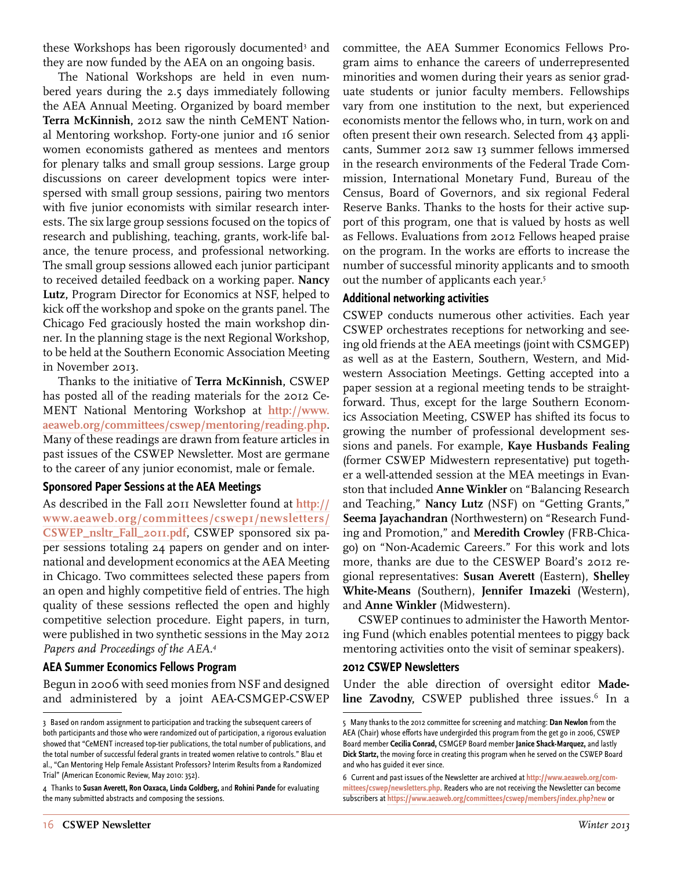these Workshops has been rigorously documented<sup>3</sup> and they are now funded by the AEA on an ongoing basis.

The National Workshops are held in even numbered years during the 2.5 days immediately following the AEA Annual Meeting. Organized by board member **Terra McKinnish,** 2012 saw the ninth CeMENT National Mentoring workshop. Forty-one junior and 16 senior women economists gathered as mentees and mentors for plenary talks and small group sessions. Large group discussions on career development topics were interspersed with small group sessions, pairing two mentors with five junior economists with similar research interests. The six large group sessions focused on the topics of research and publishing, teaching, grants, work-life balance, the tenure process, and professional networking. The small group sessions allowed each junior participant to received detailed feedback on a working paper. **Nancy Lutz,** Program Director for Economics at NSF, helped to kick off the workshop and spoke on the grants panel. The Chicago Fed graciously hosted the main workshop dinner. In the planning stage is the next Regional Workshop, to be held at the Southern Economic Association Meeting in November 2013.

Thanks to the initiative of **Terra McKinnish,** CSWEP has posted all of the reading materials for the 2012 Ce-MENT National Mentoring Workshop at **[http://www.](http://www.aeaweb.org/committees/cswep/mentoring/reading.php) [aeaweb.org/committees/cswep/mentoring/reading.php](http://www.aeaweb.org/committees/cswep/mentoring/reading.php)**. Many of these readings are drawn from feature articles in past issues of the CSWEP Newsletter. Most are germane to the career of any junior economist, male or female.

#### **Sponsored Paper Sessions at the AEA Meetings**

As described in the Fall 2011 Newsletter found at **[http://](http://www.aeaweb.org/committees/cswep1/newsletters/CSWEP_nsltr_Fall_2011.pdf) [www.aeaweb.org/committees/cswep1/newsletters/](http://www.aeaweb.org/committees/cswep1/newsletters/CSWEP_nsltr_Fall_2011.pdf) [CSWEP\\_nsltr\\_Fall\\_2011.pdf](http://www.aeaweb.org/committees/cswep1/newsletters/CSWEP_nsltr_Fall_2011.pdf)**, CSWEP sponsored six paper sessions totaling 24 papers on gender and on international and development economics at the AEA Meeting in Chicago. Two committees selected these papers from an open and highly competitive field of entries. The high quality of these sessions reflected the open and highly competitive selection procedure. Eight papers, in turn, were published in two synthetic sessions in the May 2012 *Papers and Proceedings of the AEA.4*

#### **AEA Summer Economics Fellows Program**

Begun in 2006 with seed monies from NSF and designed and administered by a joint AEA-CSMGEP-CSWEP committee, the AEA Summer Economics Fellows Program aims to enhance the careers of underrepresented minorities and women during their years as senior graduate students or junior faculty members. Fellowships vary from one institution to the next, but experienced economists mentor the fellows who, in turn, work on and often present their own research. Selected from 43 applicants, Summer 2012 saw 13 summer fellows immersed in the research environments of the Federal Trade Commission, International Monetary Fund, Bureau of the Census, Board of Governors, and six regional Federal Reserve Banks. Thanks to the hosts for their active support of this program, one that is valued by hosts as well as Fellows. Evaluations from 2012 Fellows heaped praise on the program. In the works are efforts to increase the number of successful minority applicants and to smooth out the number of applicants each year.<sup>5</sup>

#### **Additional networking activities**

CSWEP conducts numerous other activities. Each year CSWEP orchestrates receptions for networking and seeing old friends at the AEA meetings (joint with CSMGEP) as well as at the Eastern, Southern, Western, and Midwestern Association Meetings. Getting accepted into a paper session at a regional meeting tends to be straightforward. Thus, except for the large Southern Economics Association Meeting, CSWEP has shifted its focus to growing the number of professional development sessions and panels. For example, **Kaye Husbands Fealing**  (former CSWEP Midwestern representative) put together a well-attended session at the MEA meetings in Evanston that included **Anne Winkler** on "Balancing Research and Teaching," **Nancy Lutz** (NSF) on "Getting Grants," **Seema Jayachandran** (Northwestern) on "Research Funding and Promotion," and **Meredith Crowley** (FRB-Chicago) on "Non-Academic Careers." For this work and lots more, thanks are due to the CESWEP Board's 2012 regional representatives: **Susan Averett** (Eastern), **Shelley White-Means** (Southern), **Jennifer Imazeki** (Western), and **Anne Winkler** (Midwestern).

CSWEP continues to administer the Haworth Mentoring Fund (which enables potential mentees to piggy back mentoring activities onto the visit of seminar speakers).

#### **2012 CSWEP Newsletters**

Under the able direction of oversight editor **Made**line Zavodny, CSWEP published three issues.<sup>6</sup> In a

<sup>3</sup> Based on random assignment to participation and tracking the subsequent careers of both participants and those who were randomized out of participation, a rigorous evaluation showed that "CeMENT increased top-tier publications, the total number of publications, and the total number of successful federal grants in treated women relative to controls." Blau et al., "Can Mentoring Help Female Assistant Professors? Interim Results from a Randomized Trial" (American Economic Review, May 2010: 352).

<sup>4</sup> Thanks to **Susan Averett, Ron Oaxaca, Linda Goldberg,** and **Rohini Pande** for evaluating the many submitted abstracts and composing the sessions.

<sup>5</sup> Many thanks to the 2012 committee for screening and matching: **Dan Newlon** from the AEA (Chair) whose efforts have undergirded this program from the get go in 2006, CSWEP Board member **Cecilia Conrad,** CSMGEP Board member **Janice Shack-Marquez,** and lastly **Dick Startz,** the moving force in creating this program when he served on the CSWEP Board and who has guided it ever since.

<sup>6</sup> Current and past issues of the Newsletter are archived at **[http://www.aeaweb.org/com](http://www.aeaweb.org/committees/cswep/newsletters.php)[mittees/cswep/newsletters.php](http://www.aeaweb.org/committees/cswep/newsletters.php)**. Readers who are not receiving the Newsletter can become subscribers at **<https://www.aeaweb.org/committees/cswep/members/index.php?new>** or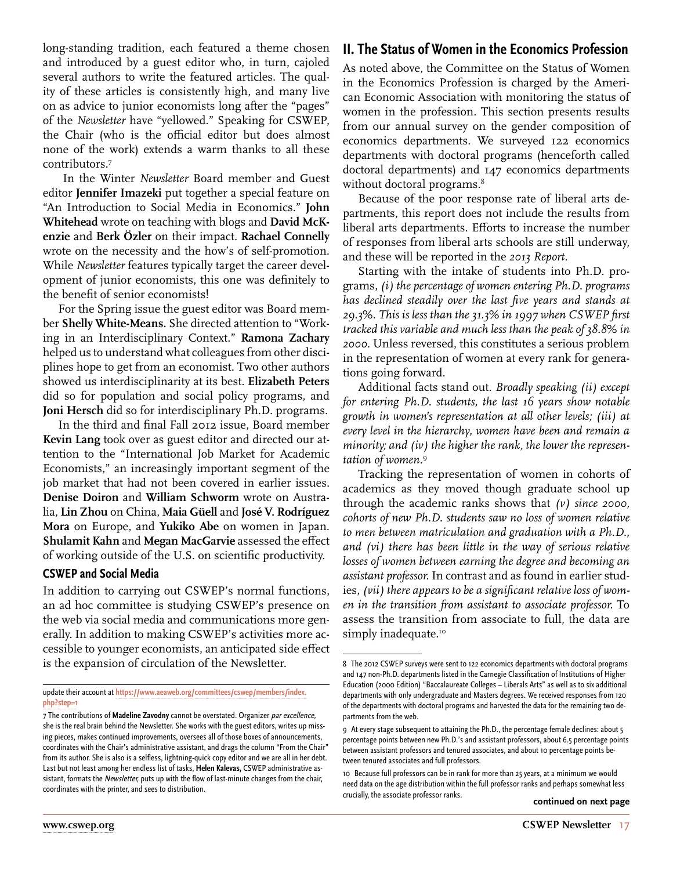long-standing tradition, each featured a theme chosen and introduced by a guest editor who, in turn, cajoled several authors to write the featured articles. The quality of these articles is consistently high, and many live on as advice to junior economists long after the "pages" of the *Newsletter* have "yellowed." Speaking for CSWEP, the Chair (who is the official editor but does almost none of the work) extends a warm thanks to all these contributors.7

 In the Winter *Newsletter* Board member and Guest editor **Jennifer Imazeki** put together a special feature on "An Introduction to Social Media in Economics." **John Whitehead** wrote on teaching with blogs and **David McKenzie** and **Berk Özler** on their impact. **Rachael Connelly** wrote on the necessity and the how's of self-promotion. While *Newsletter* features typically target the career development of junior economists, this one was definitely to the benefit of senior economists!

For the Spring issue the guest editor was Board member **Shelly White-Means.** She directed attention to "Working in an Interdisciplinary Context." **Ramona Zachary** helped us to understand what colleagues from other disciplines hope to get from an economist. Two other authors showed us interdisciplinarity at its best. **Elizabeth Peters**  did so for population and social policy programs, and **Joni Hersch** did so for interdisciplinary Ph.D. programs.

In the third and final Fall 2012 issue, Board member **Kevin Lang** took over as guest editor and directed our attention to the "International Job Market for Academic Economists," an increasingly important segment of the job market that had not been covered in earlier issues. **Denise Doiron** and **William Schworm** wrote on Australia, **Lin Zhou** on China, **Maia Güell** and **José V. Rodríguez Mora** on Europe, and **Yukiko Abe** on women in Japan. **Shulamit Kahn** and **Megan MacGarvie** assessed the effect of working outside of the U.S. on scientific productivity.

#### **CSWEP and Social Media**

In addition to carrying out CSWEP's normal functions, an ad hoc committee is studying CSWEP's presence on the web via social media and communications more generally. In addition to making CSWEP's activities more accessible to younger economists, an anticipated side effect is the expansion of circulation of the Newsletter.

update their account at **[https://www.aeaweb.org/committees/cswep/members/index.](https://www.aeaweb.org/committees/cswep/members/index.php?step=1) [php?step=1](https://www.aeaweb.org/committees/cswep/members/index.php?step=1)**

#### **II. The Status of Women in the Economics Profession**

As noted above, the Committee on the Status of Women in the Economics Profession is charged by the American Economic Association with monitoring the status of women in the profession. This section presents results from our annual survey on the gender composition of economics departments. We surveyed 122 economics departments with doctoral programs (henceforth called doctoral departments) and 147 economics departments without doctoral programs. $^8$ 

Because of the poor response rate of liberal arts departments, this report does not include the results from liberal arts departments. Efforts to increase the number of responses from liberal arts schools are still underway, and these will be reported in the *2013 Report.*

Starting with the intake of students into Ph.D. programs, *(i) the percentage of women entering Ph.D. programs has declined steadily over the last five years and stands at 29.3%. This is less than the 31.3% in 1997 when CSWEP first tracked this variable and much less than the peak of 38.8% in 2000.* Unless reversed, this constitutes a serious problem in the representation of women at every rank for generations going forward.

Additional facts stand out. *Broadly speaking (ii) except for entering Ph.D. students, the last 16 years show notable growth in women's representation at all other levels; (iii) at every level in the hierarchy, women have been and remain a minority; and (iv) the higher the rank, the lower the representation of women.*<sup>9</sup>

Tracking the representation of women in cohorts of academics as they moved though graduate school up through the academic ranks shows that *(v) since 2000, cohorts of new Ph.D. students saw no loss of women relative to men between matriculation and graduation with a Ph.D., and (vi) there has been little in the way of serious relative losses of women between earning the degree and becoming an assistant professor.* In contrast and as found in earlier studies, *(vii) there appears to be a significant relative loss of women in the transition from assistant to associate professor.* To assess the transition from associate to full, the data are simply inadequate.<sup>10</sup>

<sup>7</sup> The contributions of **Madeline Zavodny** cannot be overstated. Organizer par excellence, she is the real brain behind the Newsletter. She works with the guest editors, writes up missing pieces, makes continued improvements, oversees all of those boxes of announcements, coordinates with the Chair's administrative assistant, and drags the column "From the Chair" from its author. She is also is a selfless, lightning-quick copy editor and we are all in her debt. Last but not least among her endless list of tasks, **Helen Kalevas,** CSWEP administrative assistant, formats the Newsletter, puts up with the flow of last-minute changes from the chair, coordinates with the printer, and sees to distribution.

<sup>8</sup> The 2012 CSWEP surveys were sent to 122 economics departments with doctoral programs and 147 non-Ph.D. departments listed in the Carnegie Classification of Institutions of Higher Education (2000 Edition) "Baccalaureate Colleges – Liberals Arts" as well as to six additional departments with only undergraduate and Masters degrees. We received responses from 120 of the departments with doctoral programs and harvested the data for the remaining two departments from the web.

<sup>9</sup> At every stage subsequent to attaining the Ph.D., the percentage female declines: about 5 percentage points between new Ph.D.'s and assistant professors, about 6.5 percentage points between assistant professors and tenured associates, and about 10 percentage points between tenured associates and full professors.

<sup>10</sup> Because full professors can be in rank for more than 25 years, at a minimum we would need data on the age distribution within the full professor ranks and perhaps somewhat less crucially, the associate professor ranks. **continued on next page**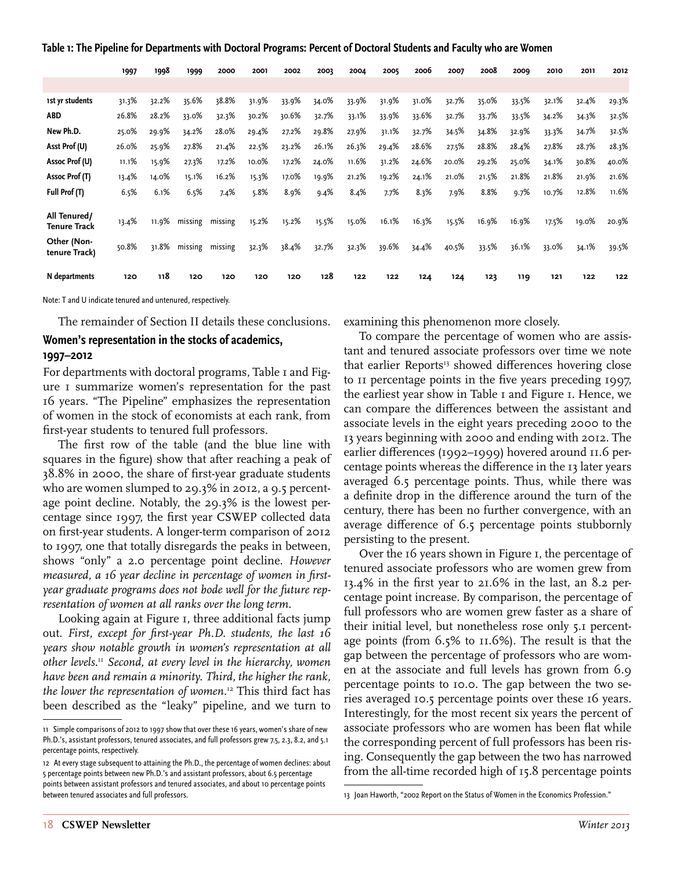| Table 1: The Pipeline for Departments with Doctoral Programs: Percent of Doctoral Students and Faculty who are Women |  |  |
|----------------------------------------------------------------------------------------------------------------------|--|--|
|                                                                                                                      |  |  |

|                                     | 1997  | 1998  | 1999    | 2000    | 2001  | 2002  | 2003  | 2004  | 2005  | 2006  | 2007  | 2008  | 2009  | 2010  | 2011  | 2012  |
|-------------------------------------|-------|-------|---------|---------|-------|-------|-------|-------|-------|-------|-------|-------|-------|-------|-------|-------|
|                                     |       |       |         |         |       |       |       |       |       |       |       |       |       |       |       |       |
| 1st yr students                     | 31.3% | 32.2% | 35.6%   | 38.8%   | 31.9% | 33.9% | 34.0% | 33.9% | 31.9% | 31.0% | 32.7% | 35.0% | 33.5% | 32.1% | 32.4% | 29.3% |
| <b>ABD</b>                          | 26.8% | 28.2% | 33.0%   | 32.3%   | 30.2% | 30.6% | 32.7% | 33.1% | 33.9% | 33.6% | 32.7% | 33.7% | 33.5% | 34.2% | 34.3% | 32.5% |
| New Ph.D.                           | 25.0% | 29.9% | 34.2%   | 28.0%   | 29.4% | 27.2% | 29.8% | 27.9% | 31.1% | 32.7% | 34.5% | 34.8% | 32.9% | 33.3% | 34.7% | 32.5% |
| Asst Prof (U)                       | 26.0% | 25.9% | 27.8%   | 21.4%   | 22.5% | 23.2% | 26.1% | 26.3% | 29.4% | 28.6% | 27.5% | 28.8% | 28.4% | 27.8% | 28.7% | 28.3% |
| Assoc Prof (U)                      | 11.1% | 15.9% | 27.3%   | 17.2%   | 10.0% | 17.2% | 24.0% | 11.6% | 31.2% | 24.6% | 20.0% | 29.2% | 25.0% | 34.1% | 30.8% | 40.0% |
| Assoc Prof (T)                      | 13.4% | 14.0% | 15.1%   | 16.2%   | 15.3% | 17.0% | 19.9% | 21.2% | 19.2% | 24.1% | 21.0% | 21.5% | 21.8% | 21.8% | 21.9% | 21.6% |
| Full Prof (T)                       | 6.5%  | 6.1%  | 6.5%    | 7.4%    | 5.8%  | 8.9%  | 9.4%  | 8.4%  | 7.7%  | 8.3%  | 7.9%  | 8.8%  | 9.7%  | 10.7% | 12.8% | 11.6% |
| All Tenured/<br><b>Tenure Track</b> | 13.4% | 11.9% | missing | missing | 15.2% | 15.2% | 15.5% | 15.0% | 16.1% | 16.3% | 15.5% | 16.9% | 16.9% | 17.5% | 19.0% | 20.9% |
| Other (Non-<br>tenure Track)        | 50.8% | 31.8% | missing | missing | 32.3% | 38.4% | 32.7% | 32.3% | 39.6% | 34.4% | 40.5% | 33.5% | 36.1% | 33.0% | 34.1% | 39.5% |
| N departments                       | 120   | 118   | 120     | 120     | 120   | 120   | 128   | 122   | 122   | 124   | 124   | 123   | 119   | 121   | 122   | 122   |

Note: T and U indicate tenured and untenured, respectively.

The remainder of Section II details these conclusions.

#### **Women's representation in the stocks of academics, 1997–2012**

For departments with doctoral programs, Table I and Figure 1 summarize women's representation for the past 16 years. "The Pipeline" emphasizes the representation of women in the stock of economists at each rank, from first-year students to tenured full professors.

The first row of the table (and the blue line with squares in the figure) show that after reaching a peak of 38.8% in 2000, the share of first-year graduate students who are women slumped to 29.3% in 2012, a 9.5 percentage point decline. Notably, the 29.3% is the lowest percentage since 1997, the first year CSWEP collected data on first-year students. A longer-term comparison of 2012 to 1997, one that totally disregards the peaks in between, shows "only" a 2.0 percentage point decline. *However measured, a 16 year decline in percentage of women in firstyear graduate programs does not bode well for the future representation of women at all ranks over the long term.*

Looking again at Figure 1, three additional facts jump out. *First, except for first-year Ph.D. students, the last 16 years show notable growth in women's representation at all other levels.*<sup>11</sup> *Second, at every level in the hierarchy, women have been and remain a minority. Third, the higher the rank, the lower the representation of women.*<sup>12</sup> This third fact has been described as the "leaky" pipeline, and we turn to examining this phenomenon more closely.

To compare the percentage of women who are assistant and tenured associate professors over time we note that earlier Reports<sup>13</sup> showed differences hovering close to 11 percentage points in the five years preceding 1997, the earliest year show in Table 1 and Figure 1. Hence, we can compare the differences between the assistant and associate levels in the eight years preceding 2000 to the 13 years beginning with 2000 and ending with 2012. The earlier differences (1992–1999) hovered around 11.6 percentage points whereas the difference in the 13 later years averaged 6.5 percentage points. Thus, while there was a definite drop in the difference around the turn of the century, there has been no further convergence, with an average difference of 6.5 percentage points stubbornly persisting to the present.

Over the 16 years shown in Figure 1, the percentage of tenured associate professors who are women grew from 13.4% in the first year to 21.6% in the last, an 8.2 percentage point increase. By comparison, the percentage of full professors who are women grew faster as a share of their initial level, but nonetheless rose only 5.1 percentage points (from 6.5% to 11.6%). The result is that the gap between the percentage of professors who are women at the associate and full levels has grown from 6.9 percentage points to 10.0. The gap between the two series averaged 10.5 percentage points over these 16 years. Interestingly, for the most recent six years the percent of associate professors who are women has been flat while the corresponding percent of full professors has been rising. Consequently the gap between the two has narrowed from the all-time recorded high of 15.8 percentage points

<sup>11</sup> Simple comparisons of 2012 to 1997 show that over these 16 years, women's share of new Ph.D.'s, assistant professors, tenured associates, and full professors grew 7.5, 2.3, 8.2, and 5.1 percentage points, respectively.

<sup>12</sup> At every stage subsequent to attaining the Ph.D., the percentage of women declines: about 5 percentage points between new Ph.D.'s and assistant professors, about 6.5 percentage points between assistant professors and tenured associates, and about 10 percentage points between tenured associates and full professors.

<sup>13</sup> Joan Haworth, "2002 Report on the Status of Women in the Economics Profession."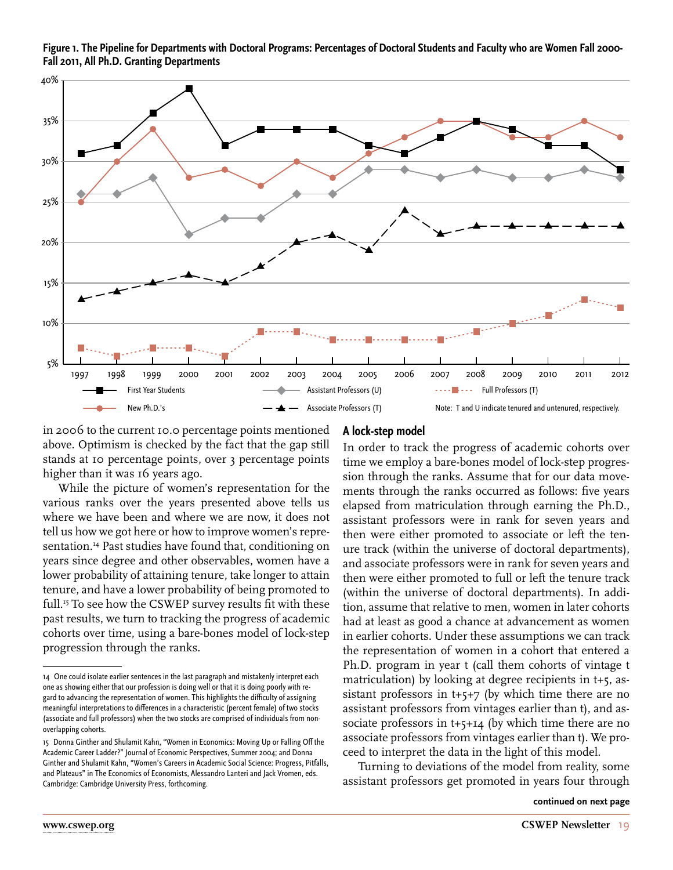**Figure 1. The Pipeline for Departments with Doctoral Programs: Percentages of Doctoral Students and Faculty who are Women Fall 2000- Fall 2011, All Ph.D. Granting Departments**



in 2006 to the current 10.0 percentage points mentioned above. Optimism is checked by the fact that the gap still stands at 10 percentage points, over 3 percentage points higher than it was 16 years ago.

While the picture of women's representation for the various ranks over the years presented above tells us where we have been and where we are now, it does not tell us how we got here or how to improve women's representation.<sup>14</sup> Past studies have found that, conditioning on years since degree and other observables, women have a lower probability of attaining tenure, take longer to attain tenure, and have a lower probability of being promoted to full.<sup>15</sup> To see how the CSWEP survey results fit with these past results, we turn to tracking the progress of academic cohorts over time, using a bare-bones model of lock-step progression through the ranks.

#### **A lock-step model**

In order to track the progress of academic cohorts over time we employ a bare-bones model of lock-step progression through the ranks. Assume that for our data movements through the ranks occurred as follows: five years elapsed from matriculation through earning the Ph.D., assistant professors were in rank for seven years and then were either promoted to associate or left the tenure track (within the universe of doctoral departments), and associate professors were in rank for seven years and then were either promoted to full or left the tenure track (within the universe of doctoral departments). In addition, assume that relative to men, women in later cohorts had at least as good a chance at advancement as women in earlier cohorts. Under these assumptions we can track the representation of women in a cohort that entered a Ph.D. program in year t (call them cohorts of vintage t matriculation) by looking at degree recipients in t+5, assistant professors in t+5+7 (by which time there are no assistant professors from vintages earlier than t), and associate professors in t+5+14 (by which time there are no associate professors from vintages earlier than t). We proceed to interpret the data in the light of this model.

Turning to deviations of the model from reality, some assistant professors get promoted in years four through

<sup>14</sup> One could isolate earlier sentences in the last paragraph and mistakenly interpret each one as showing either that our profession is doing well or that it is doing poorly with regard to advancing the representation of women. This highlights the difficulty of assigning meaningful interpretations to differences in a characteristic (percent female) of two stocks (associate and full professors) when the two stocks are comprised of individuals from nonoverlapping cohorts.

<sup>15</sup> Donna Ginther and Shulamit Kahn, "Women in Economics: Moving Up or Falling Off the Academic Career Ladder?" Journal of Economic Perspectives, Summer 2004; and Donna Ginther and Shulamit Kahn, "Women's Careers in Academic Social Science: Progress, Pitfalls, and Plateaus" in The Economics of Economists, Alessandro Lanteri and Jack Vromen, eds. Cambridge: Cambridge University Press, forthcoming.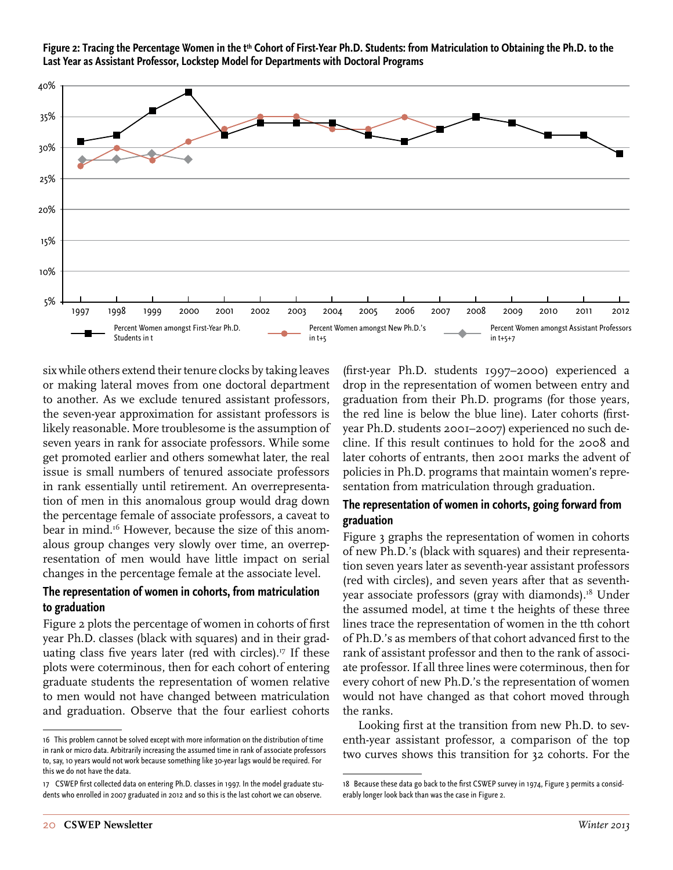Figure 2: Tracing the Percentage Women in the t<sup>th</sup> Cohort of First-Year Ph.D. Students: from Matriculation to Obtaining the Ph.D. to the **Last Year as Assistant Professor, Lockstep Model for Departments with Doctoral Programs**



six while others extend their tenure clocks by taking leaves or making lateral moves from one doctoral department to another. As we exclude tenured assistant professors, the seven-year approximation for assistant professors is likely reasonable. More troublesome is the assumption of seven years in rank for associate professors. While some get promoted earlier and others somewhat later, the real issue is small numbers of tenured associate professors in rank essentially until retirement. An overrepresentation of men in this anomalous group would drag down the percentage female of associate professors, a caveat to bear in mind.<sup>16</sup> However, because the size of this anomalous group changes very slowly over time, an overrepresentation of men would have little impact on serial changes in the percentage female at the associate level.

#### **The representation of women in cohorts, from matriculation to graduation**

Figure 2 plots the percentage of women in cohorts of first year Ph.D. classes (black with squares) and in their graduating class five years later (red with circles).<sup>17</sup> If these plots were coterminous, then for each cohort of entering graduate students the representation of women relative to men would not have changed between matriculation and graduation. Observe that the four earliest cohorts

(first-year Ph.D. students 1997–2000) experienced a drop in the representation of women between entry and graduation from their Ph.D. programs (for those years, the red line is below the blue line). Later cohorts (firstyear Ph.D. students 2001–2007) experienced no such decline. If this result continues to hold for the 2008 and later cohorts of entrants, then 2001 marks the advent of policies in Ph.D. programs that maintain women's representation from matriculation through graduation.

#### **The representation of women in cohorts, going forward from graduation**

Figure 3 graphs the representation of women in cohorts of new Ph.D.'s (black with squares) and their representation seven years later as seventh-year assistant professors (red with circles), and seven years after that as seventhyear associate professors (gray with diamonds).<sup>18</sup> Under the assumed model, at time t the heights of these three lines trace the representation of women in the tth cohort of Ph.D.'s as members of that cohort advanced first to the rank of assistant professor and then to the rank of associate professor. If all three lines were coterminous, then for every cohort of new Ph.D.'s the representation of women would not have changed as that cohort moved through the ranks.

Looking first at the transition from new Ph.D. to seventh-year assistant professor, a comparison of the top two curves shows this transition for 32 cohorts. For the

<sup>16</sup> This problem cannot be solved except with more information on the distribution of time in rank or micro data. Arbitrarily increasing the assumed time in rank of associate professors to, say, 10 years would not work because something like 30-year lags would be required. For this we do not have the data.

<sup>17</sup> CSWEP first collected data on entering Ph.D. classes in 1997. In the model graduate students who enrolled in 2007 graduated in 2012 and so this is the last cohort we can observe.

<sup>18</sup> Because these data go back to the first CSWEP survey in 1974, Figure 3 permits a considerably longer look back than was the case in Figure 2.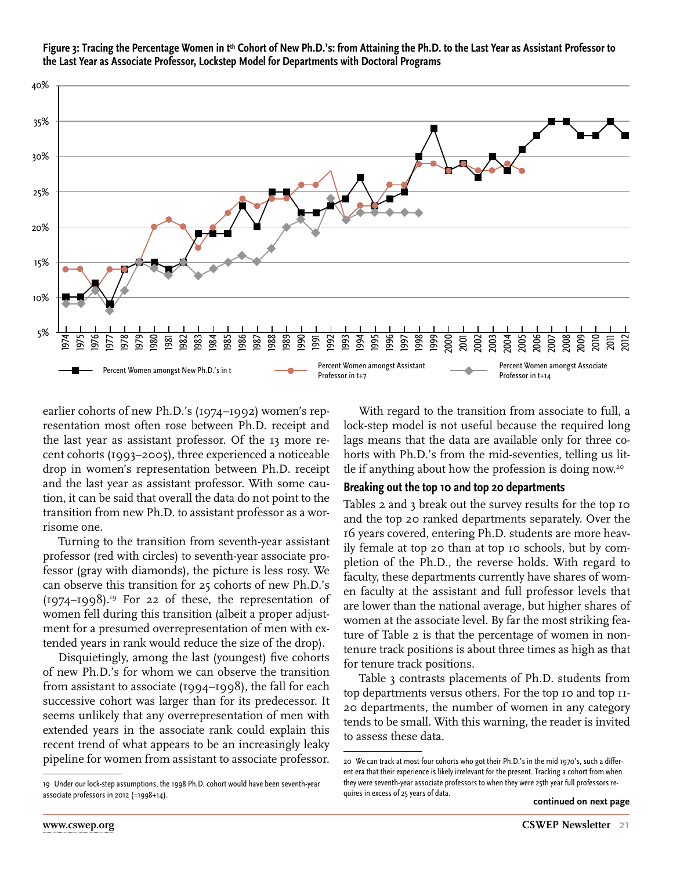

Figure 3: Tracing the Percentage Women in t<sup>th</sup> Cohort of New Ph.D.'s: from Attaining the Ph.D. to the Last Year as Assistant Professor to **the Last Year as Associate Professor, Lockstep Model for Departments with Doctoral Programs**

earlier cohorts of new Ph.D.'s (1974–1992) women's representation most often rose between Ph.D. receipt and the last year as assistant professor. Of the 13 more recent cohorts (1993–2005), three experienced a noticeable drop in women's representation between Ph.D. receipt and the last year as assistant professor. With some caution, it can be said that overall the data do not point to the transition from new Ph.D. to assistant professor as a worrisome one.

Turning to the transition from seventh-year assistant professor (red with circles) to seventh-year associate professor (gray with diamonds), the picture is less rosy. We can observe this transition for 25 cohorts of new Ph.D.'s  $(1974-1998).$ <sup>19</sup> For 22 of these, the representation of women fell during this transition (albeit a proper adjustment for a presumed overrepresentation of men with extended years in rank would reduce the size of the drop).

Disquietingly, among the last (youngest) five cohorts of new Ph.D.'s for whom we can observe the transition from assistant to associate (1994–1998), the fall for each successive cohort was larger than for its predecessor. It seems unlikely that any overrepresentation of men with extended years in the associate rank could explain this recent trend of what appears to be an increasingly leaky pipeline for women from assistant to associate professor.

With regard to the transition from associate to full, a lock-step model is not useful because the required long lags means that the data are available only for three cohorts with Ph.D.'s from the mid-seventies, telling us little if anything about how the profession is doing now.20

#### **Breaking out the top 10 and top 20 departments**

Tables 2 and 3 break out the survey results for the top 10 and the top 20 ranked departments separately. Over the 16 years covered, entering Ph.D. students are more heavily female at top 20 than at top 10 schools, but by completion of the Ph.D., the reverse holds. With regard to faculty, these departments currently have shares of women faculty at the assistant and full professor levels that are lower than the national average, but higher shares of women at the associate level. By far the most striking feature of Table 2 is that the percentage of women in nontenure track positions is about three times as high as that for tenure track positions.

Table 3 contrasts placements of Ph.D. students from top departments versus others. For the top 10 and top 11- 20 departments, the number of women in any category tends to be small. With this warning, the reader is invited to assess these data.

<sup>19</sup> Under our lock-step assumptions, the 1998 Ph.D. cohort would have been seventh-year associate professors in 2012 (=1998+14).

<sup>20</sup> We can track at most four cohorts who got their Ph.D.'s in the mid 1970's, such a different era that their experience is likely irrelevant for the present. Tracking a cohort from when they were seventh-year associate professors to when they were 25th year full professors requires in excess of 25 years of data.

**continued on next page**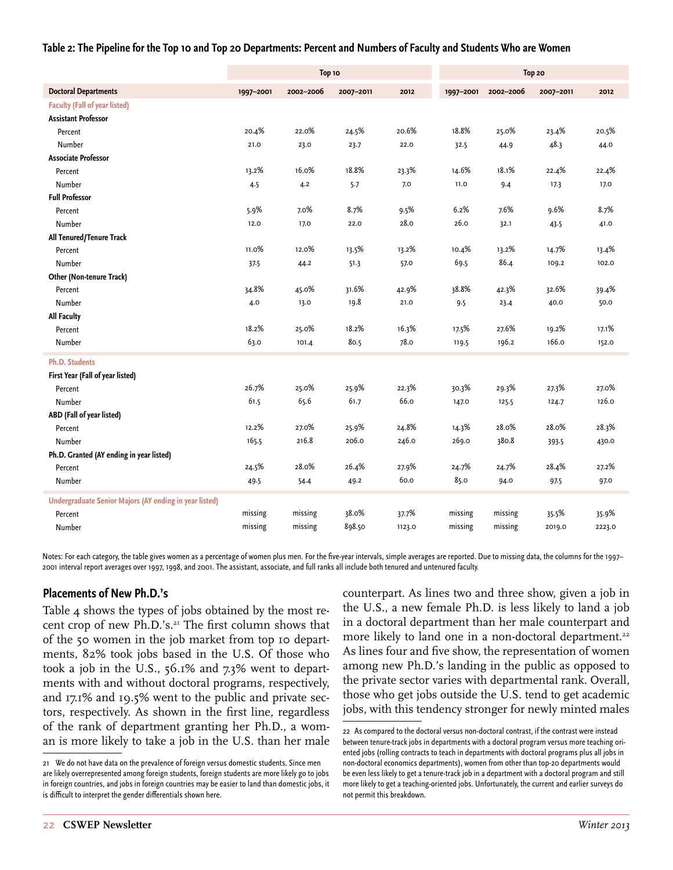#### **Table 2: The Pipeline for the Top 10 and Top 20 Departments: Percent and Numbers of Faculty and Students Who are Women**

|                                                        |           | Top 10    |           |        | Top 20    |           |           |        |
|--------------------------------------------------------|-----------|-----------|-----------|--------|-----------|-----------|-----------|--------|
| <b>Doctoral Departments</b>                            | 1997-2001 | 2002-2006 | 2007-2011 | 2012   | 1997-2001 | 2002-2006 | 2007-2011 | 2012   |
| <b>Faculty (Fall of year listed)</b>                   |           |           |           |        |           |           |           |        |
| <b>Assistant Professor</b>                             |           |           |           |        |           |           |           |        |
| Percent                                                | 20.4%     | 22.0%     | 24.5%     | 20.6%  | 18.8%     | 25.0%     | 23.4%     | 20.5%  |
| Number                                                 | 21.0      | 23.0      | 23.7      | 22.0   | 32.5      | 44.9      | 48.3      | 44.0   |
| <b>Associate Professor</b>                             |           |           |           |        |           |           |           |        |
| Percent                                                | 13.2%     | 16.0%     | 18.8%     | 23.3%  | 14.6%     | 18.1%     | 22.4%     | 22.4%  |
| Number                                                 | 4.5       | 4.2       | 5.7       | 7.0    | 11.0      | 9.4       | 17.3      | 17.0   |
| <b>Full Professor</b>                                  |           |           |           |        |           |           |           |        |
| Percent                                                | 5.9%      | 7.0%      | 8.7%      | 9.5%   | 6.2%      | 7.6%      | 9.6%      | 8.7%   |
| Number                                                 | 12.0      | 17.0      | 22.0      | 28.0   | 26.0      | 32.1      | 43.5      | 41.0   |
| All Tenured/Tenure Track                               |           |           |           |        |           |           |           |        |
| Percent                                                | 11.0%     | 12.0%     | 13.5%     | 13.2%  | 10.4%     | 13.2%     | 14.7%     | 13.4%  |
| Number                                                 | 37.5      | 44.2      | 51.3      | 57.0   | 69.5      | 86.4      | 109.2     | 102.0  |
| Other (Non-tenure Track)                               |           |           |           |        |           |           |           |        |
| Percent                                                | 34.8%     | 45.0%     | 31.6%     | 42.9%  | 38.8%     | 42.3%     | 32.6%     | 39.4%  |
| Number                                                 | 4.0       | 13.0      | 19.8      | 21.0   | 9.5       | 23.4      | 40.0      | 50.0   |
| <b>All Faculty</b>                                     |           |           |           |        |           |           |           |        |
| Percent                                                | 18.2%     | 25.0%     | 18.2%     | 16.3%  | 17.5%     | 27.6%     | 19.2%     | 17.1%  |
| Number                                                 | 63.0      | 101.4     | 80.5      | 78.0   | 119.5     | 196.2     | 166.0     | 152.0  |
| <b>Ph.D. Students</b>                                  |           |           |           |        |           |           |           |        |
| First Year (Fall of year listed)                       |           |           |           |        |           |           |           |        |
| Percent                                                | 26.7%     | 25.0%     | 25.9%     | 22.3%  | 30.3%     | 29.3%     | 27.3%     | 27.0%  |
| Number                                                 | 61.5      | 65.6      | 61.7      | 66.0   | 147.0     | 125.5     | 124.7     | 126.0  |
| ABD (Fall of year listed)                              |           |           |           |        |           |           |           |        |
| Percent                                                | 12.2%     | 27.0%     | 25.9%     | 24.8%  | 14.3%     | 28.0%     | 28.0%     | 28.3%  |
| Number                                                 | 165.5     | 216.8     | 206.0     | 246.0  | 269.0     | 380.8     | 393.5     | 430.0  |
| Ph.D. Granted (AY ending in year listed)               |           |           |           |        |           |           |           |        |
| Percent                                                | 24.5%     | 28.0%     | 26.4%     | 27.9%  | 24.7%     | 24.7%     | 28.4%     | 27.2%  |
| Number                                                 | 49.5      | 54.4      | 49.2      | 60.0   | 85.0      | 94.0      | 97.5      | 97.0   |
| Undergraduate Senior Majors (AY ending in year listed) |           |           |           |        |           |           |           |        |
| Percent                                                | missing   | missing   | 38.0%     | 37.7%  | missing   | missing   | 35.5%     | 35.9%  |
| Number                                                 | missing   | missing   | 898.50    | 1123.0 | missing   | missing   | 2019.0    | 2223.0 |

Notes: For each category, the table gives women as a percentage of women plus men. For the five-year intervals, simple averages are reported. Due to missing data, the columns for the 1997– 2001 interval report averages over 1997, 1998, and 2001. The assistant, associate, and full ranks all include both tenured and untenured faculty.

#### **Placements of New Ph.D.'s**

Table 4 shows the types of jobs obtained by the most recent crop of new Ph.D.'s.<sup>21</sup> The first column shows that of the 50 women in the job market from top 10 departments, 82% took jobs based in the U.S. Of those who took a job in the U.S., 56.1% and 7.3% went to departments with and without doctoral programs, respectively, and 17.1% and 19.5% went to the public and private sectors, respectively. As shown in the first line, regardless of the rank of department granting her Ph.D., a woman is more likely to take a job in the U.S. than her male counterpart. As lines two and three show, given a job in the U.S., a new female Ph.D. is less likely to land a job in a doctoral department than her male counterpart and more likely to land one in a non-doctoral department.<sup>22</sup> As lines four and five show, the representation of women among new Ph.D.'s landing in the public as opposed to the private sector varies with departmental rank. Overall, those who get jobs outside the U.S. tend to get academic jobs, with this tendency stronger for newly minted males

<sup>21</sup> We do not have data on the prevalence of foreign versus domestic students. Since men are likely overrepresented among foreign students, foreign students are more likely go to jobs in foreign countries, and jobs in foreign countries may be easier to land than domestic jobs, it is difficult to interpret the gender differentials shown here.

<sup>22</sup> As compared to the doctoral versus non-doctoral contrast, if the contrast were instead between tenure-track jobs in departments with a doctoral program versus more teaching oriented jobs (rolling contracts to teach in departments with doctoral programs plus all jobs in non-doctoral economics departments), women from other than top-20 departments would be even less likely to get a tenure-track job in a department with a doctoral program and still more likely to get a teaching-oriented jobs. Unfortunately, the current and earlier surveys do not permit this breakdown.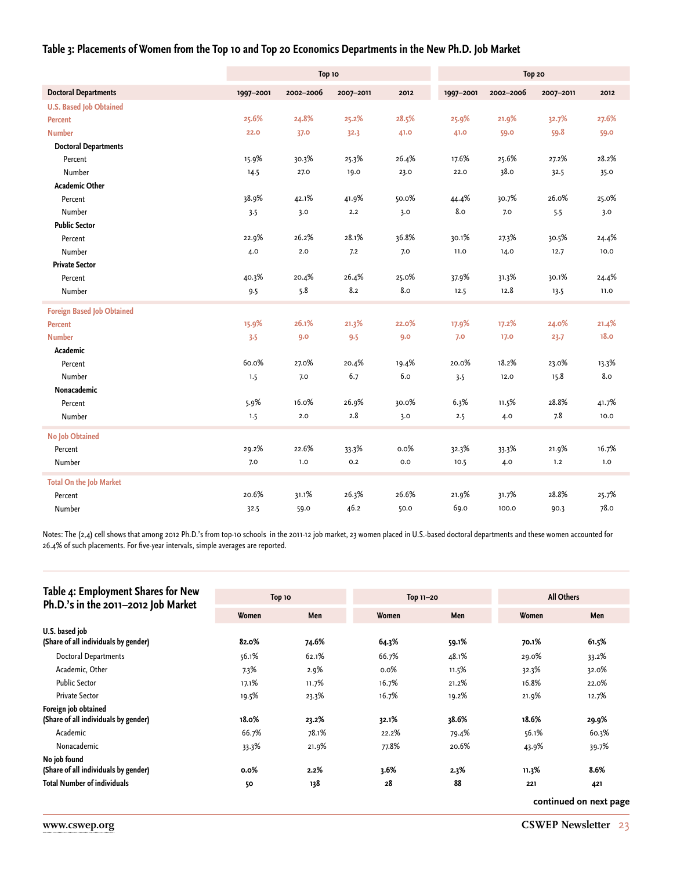#### **Table 3: Placements of Women from the Top 10 and Top 20 Economics Departments in the New Ph.D. Job Market**

|                                   |           | Top 10    |           |       | Top 20    |           |           |       |
|-----------------------------------|-----------|-----------|-----------|-------|-----------|-----------|-----------|-------|
| <b>Doctoral Departments</b>       | 1997-2001 | 2002-2006 | 2007-2011 | 2012  | 1997-2001 | 2002-2006 | 2007-2011 | 2012  |
| <b>U.S. Based Job Obtained</b>    |           |           |           |       |           |           |           |       |
| Percent                           | 25.6%     | 24.8%     | 25.2%     | 28.5% | 25.9%     | 21.9%     | 32.7%     | 27.6% |
| <b>Number</b>                     | 22.0      | 37.0      | 32.3      | 41.0  | 41.0      | 59.0      | 59.8      | 59.0  |
| <b>Doctoral Departments</b>       |           |           |           |       |           |           |           |       |
| Percent                           | 15.9%     | 30.3%     | 25.3%     | 26.4% | 17.6%     | 25.6%     | 27.2%     | 28.2% |
| Number                            | 14.5      | 27.0      | 19.0      | 23.0  | 22.0      | 38.0      | 32.5      | 35.0  |
| <b>Academic Other</b>             |           |           |           |       |           |           |           |       |
| Percent                           | 38.9%     | 42.1%     | 41.9%     | 50.0% | 44.4%     | 30.7%     | 26.0%     | 25.0% |
| Number                            | 3.5       | 3.0       | 2.2       | 3.0   | 8.0       | 7.0       | 5.5       | 3.0   |
| <b>Public Sector</b>              |           |           |           |       |           |           |           |       |
| Percent                           | 22.9%     | 26.2%     | 28.1%     | 36.8% | 30.1%     | 27.3%     | 30.5%     | 24.4% |
| Number                            | 4.0       | 2.0       | 7.2       | 7.0   | 11.0      | 14.0      | 12.7      | 10.0  |
| <b>Private Sector</b>             |           |           |           |       |           |           |           |       |
| Percent                           | 40.3%     | 20.4%     | 26.4%     | 25.0% | 37.9%     | 31.3%     | 30.1%     | 24.4% |
| Number                            | 9.5       | 5.8       | 8.2       | 8.0   | 12.5      | 12.8      | 13.5      | 11.0  |
| <b>Foreign Based Job Obtained</b> |           |           |           |       |           |           |           |       |
| <b>Percent</b>                    | 15.9%     | 26.1%     | 21.3%     | 22.0% | 17.9%     | 17.2%     | 24.0%     | 21.4% |
| <b>Number</b>                     | 3.5       | 9.0       | 9.5       | 9.0   | 7.0       | 17.0      | 23.7      | 18.0  |
| Academic                          |           |           |           |       |           |           |           |       |
| Percent                           | 60.0%     | 27.0%     | 20.4%     | 19.4% | 20.0%     | 18.2%     | 23.0%     | 13.3% |
| Number                            | 1.5       | 7.0       | 6.7       | 6.0   | 3.5       | 12.0      | 15.8      | 8.0   |
| Nonacademic                       |           |           |           |       |           |           |           |       |
| Percent                           | 5.9%      | 16.0%     | 26.9%     | 30.0% | 6.3%      | 11.5%     | 28.8%     | 41.7% |
| Number                            | 1.5       | 2.0       | $2.8\,$   | 3.0   | 2.5       | 4.0       | 7.8       | 10.0  |
| <b>No Job Obtained</b>            |           |           |           |       |           |           |           |       |
| Percent                           | 29.2%     | 22.6%     | 33.3%     | 0.0%  | 32.3%     | 33.3%     | 21.9%     | 16.7% |
| Number                            | 7.0       | 1.0       | 0.2       | 0.0   | 10.5      | 4.0       | 1.2       | 1.0   |
| <b>Total On the Job Market</b>    |           |           |           |       |           |           |           |       |
| Percent                           | 20.6%     | 31.1%     | 26.3%     | 26.6% | 21.9%     | 31.7%     | 28.8%     | 25.7% |
| Number                            | 32.5      | 59.0      | 46.2      | 50.0  | 69.0      | 100.0     | 90.3      | 78.0  |

Notes: The (2,4) cell shows that among 2012 Ph.D.'s from top-10 schools in the 2011-12 job market, 23 women placed in U.S.-based doctoral departments and these women accounted for 26.4% of such placements. For five-year intervals, simple averages are reported.

| Table 4: Employment Shares for New   |         |       |           |       |                   |       |  |
|--------------------------------------|---------|-------|-----------|-------|-------------------|-------|--|
| Ph.D.'s in the 2011-2012 Job Market  | Top 10  |       | Top 11-20 |       | <b>All Others</b> |       |  |
|                                      | Women   | Men   | Women     | Men   | Women             | Men   |  |
| U.S. based job                       |         |       |           |       |                   |       |  |
| (Share of all individuals by gender) | 82.0%   | 74.6% | 64.3%     | 59.1% | 70.1%             | 61.5% |  |
| <b>Doctoral Departments</b>          | 56.1%   | 62.1% | 66.7%     | 48.1% | 29.0%             | 33.2% |  |
| Academic, Other                      | 7.3%    | 2.9%  | $0.0\%$   | 11.5% | 32.3%             | 32.0% |  |
| <b>Public Sector</b>                 | 17.1%   | 11.7% | 16.7%     | 21.2% | 16.8%             | 22.0% |  |
| <b>Private Sector</b>                | 19.5%   | 23.3% | 16.7%     | 19.2% | 21.9%             | 12.7% |  |
| Foreign job obtained                 |         |       |           |       |                   |       |  |
| (Share of all individuals by gender) | 18.0%   | 23.2% | 32.1%     | 38.6% | 18.6%             | 29.9% |  |
| Academic                             | 66.7%   | 78.1% | 22.2%     | 79.4% | 56.1%             | 60.3% |  |
| Nonacademic                          | 33.3%   | 21.9% | 77.8%     | 20.6% | 43.9%             | 39.7% |  |
| No job found                         |         |       |           |       |                   |       |  |
| (Share of all individuals by gender) | $0.0\%$ | 2.2%  | 3.6%      | 2.3%  | 11.3%             | 8.6%  |  |
| <b>Total Number of individuals</b>   | 50      | 138   | 28        | 88    | 221               | 421   |  |
|                                      |         |       |           |       |                   |       |  |

**continued on next page**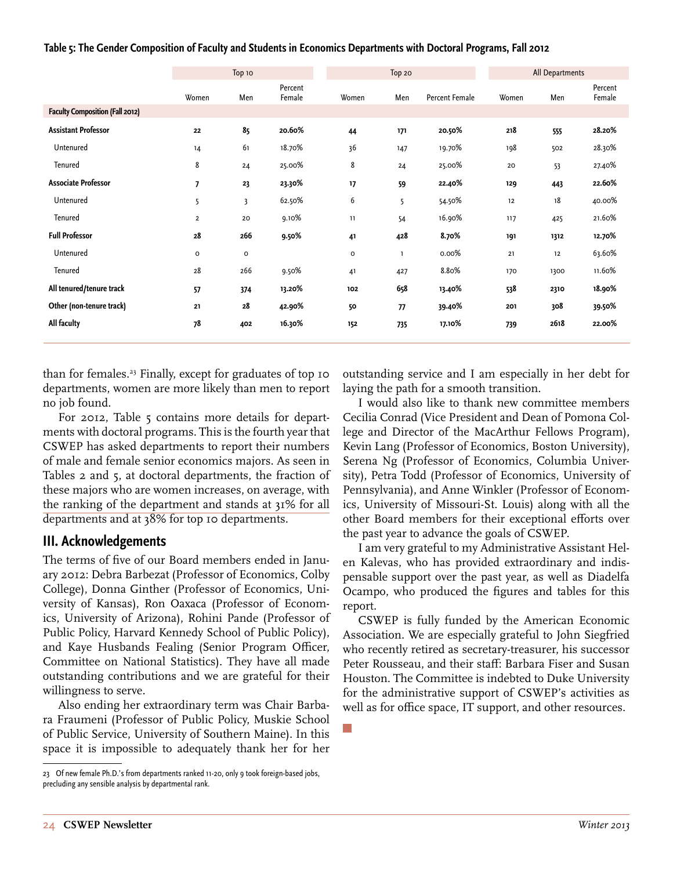| Table 5: The Gender Composition of Faculty and Students in Economics Departments with Doctoral Programs, Fall 2012 |  |  |  |  |  |  |  |  |  |
|--------------------------------------------------------------------------------------------------------------------|--|--|--|--|--|--|--|--|--|
|--------------------------------------------------------------------------------------------------------------------|--|--|--|--|--|--|--|--|--|

|                                        |                          | Тор 10       |                   |                     | Top 20 |                |       | All Departments |                   |
|----------------------------------------|--------------------------|--------------|-------------------|---------------------|--------|----------------|-------|-----------------|-------------------|
|                                        | Women                    | Men          | Percent<br>Female | Women               | Men    | Percent Female | Women | Men             | Percent<br>Female |
| <b>Faculty Composition (Fall 2012)</b> |                          |              |                   |                     |        |                |       |                 |                   |
| <b>Assistant Professor</b>             | 22                       | 85           | 20.60%            | 44                  | 171    | 20.50%         | 218   | 555             | 28.20%            |
| Untenured                              | 14                       | 61           | 18.70%            | 36                  | 147    | 19.70%         | 198   | 502             | 28.30%            |
| Tenured                                | 8                        | 24           | 25.00%            | 8                   | 24     | 25.00%         | 20    | 53              | 27.40%            |
| <b>Associate Professor</b>             | $\overline{\phantom{a}}$ | 23           | 23.30%            | 17                  | 59     | 22.40%         | 129   | 443             | 22.60%            |
| Untenured                              | 5                        | 3            | 62.50%            | 6                   | 5      | 54.50%         | 12    | 18              | 40.00%            |
| Tenured                                | $\overline{2}$           | 20           | 9.10%             | 11                  | 54     | 16.90%         | 117   | 425             | 21.60%            |
| <b>Full Professor</b>                  | 28                       | 266          | 9.50%             | 41                  | 428    | 8.70%          | 191   | 1312            | 12.70%            |
| Untenured                              | $\mathsf{o}\,$           | $\mathsf{o}$ |                   | $\mathsf{o}\xspace$ | ı      | 0.00%          | 21    | 12              | 63.60%            |
| Tenured                                | 28                       | 266          | 9.50%             | 41                  | 427    | 8.80%          | 170   | 1300            | 11.60%            |
| All tenured/tenure track               | 57                       | 374          | 13.20%            | 102                 | 658    | 13.40%         | 538   | 2310            | 18.90%            |
| Other (non-tenure track)               | 21                       | 28           | 42.90%            | 50                  | 77     | 39.40%         | 201   | 308             | 39.50%            |
| All faculty                            | 78                       | 402          | 16.30%            | 152                 | 735    | 17.10%         | 739   | 2618            | 22.00%            |
|                                        |                          |              |                   |                     |        |                |       |                 |                   |

than for females.<sup>23</sup> Finally, except for graduates of top 10 departments, women are more likely than men to report no job found.

For 2012, Table 5 contains more details for departments with doctoral programs. This is the fourth year that CSWEP has asked departments to report their numbers of male and female senior economics majors. As seen in Tables 2 and 5, at doctoral departments, the fraction of these majors who are women increases, on average, with the ranking of the department and stands at 31% for all departments and at 38% for top 10 departments.

#### **III. Acknowledgements**

The terms of five of our Board members ended in January 2012: Debra Barbezat (Professor of Economics, Colby College), Donna Ginther (Professor of Economics, University of Kansas), Ron Oaxaca (Professor of Economics, University of Arizona), Rohini Pande (Professor of Public Policy, Harvard Kennedy School of Public Policy), and Kaye Husbands Fealing (Senior Program Officer, Committee on National Statistics). They have all made outstanding contributions and we are grateful for their willingness to serve.

Also ending her extraordinary term was Chair Barbara Fraumeni (Professor of Public Policy, Muskie School of Public Service, University of Southern Maine). In this space it is impossible to adequately thank her for her

outstanding service and I am especially in her debt for laying the path for a smooth transition.

I would also like to thank new committee members Cecilia Conrad (Vice President and Dean of Pomona College and Director of the MacArthur Fellows Program), Kevin Lang (Professor of Economics, Boston University), Serena Ng (Professor of Economics, Columbia University), Petra Todd (Professor of Economics, University of Pennsylvania), and Anne Winkler (Professor of Economics, University of Missouri-St. Louis) along with all the other Board members for their exceptional efforts over the past year to advance the goals of CSWEP.

I am very grateful to my Administrative Assistant Helen Kalevas, who has provided extraordinary and indispensable support over the past year, as well as Diadelfa Ocampo, who produced the figures and tables for this report.

CSWEP is fully funded by the American Economic Association. We are especially grateful to John Siegfried who recently retired as secretary-treasurer, his successor Peter Rousseau, and their staff: Barbara Fiser and Susan Houston. The Committee is indebted to Duke University for the administrative support of CSWEP's activities as well as for office space, IT support, and other resources.

<sup>23</sup> Of new female Ph.D.'s from departments ranked 11-20, only 9 took foreign-based jobs, precluding any sensible analysis by departmental rank.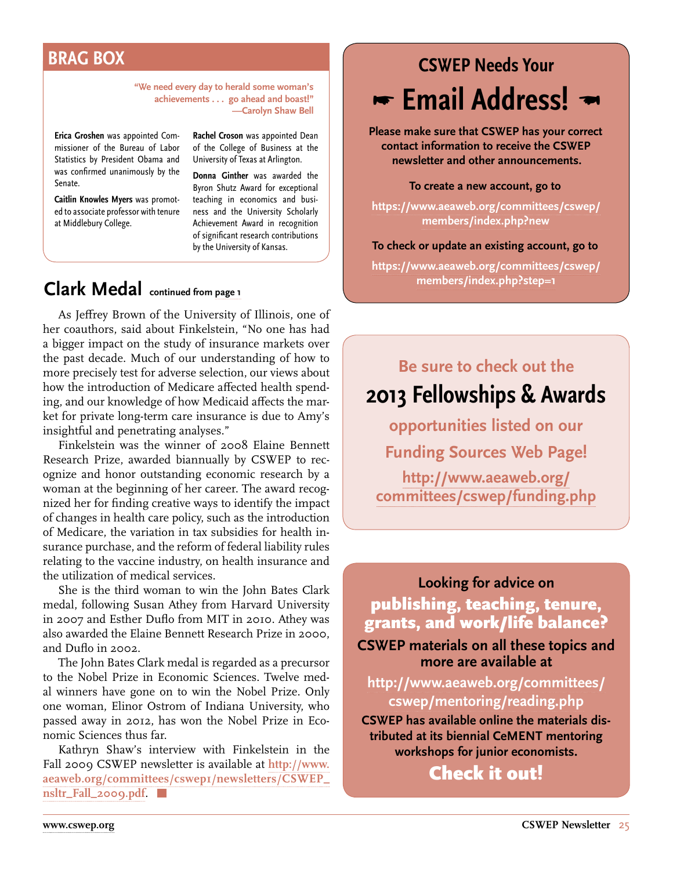# <span id="page-24-0"></span>**BRAG BOX**

**"We need every day to herald some woman's achievements . . . go ahead and boast!" —Carolyn Shaw Bell**

**Erica Groshen** was appointed Commissioner of the Bureau of Labor Statistics by President Obama and was confirmed unanimously by the Senate.

**Caitlin Knowles Myers** was promoted to associate professor with tenure at Middlebury College.

**Rachel Croson** was appointed Dean of the College of Business at the University of Texas at Arlington.

**Donna Ginther** was awarded the Byron Shutz Award for exceptional teaching in economics and business and the University Scholarly Achievement Award in recognition of significant research contributions by the University of Kansas.

# **Clark Medal continued from [page 1](#page-0-0)**

As Jeffrey Brown of the University of Illinois, one of her coauthors, said about Finkelstein, "No one has had a bigger impact on the study of insurance markets over the past decade. Much of our understanding of how to more precisely test for adverse selection, our views about how the introduction of Medicare affected health spending, and our knowledge of how Medicaid affects the market for private long-term care insurance is due to Amy's insightful and penetrating analyses."

Finkelstein was the winner of 2008 Elaine Bennett Research Prize, awarded biannually by CSWEP to recognize and honor outstanding economic research by a woman at the beginning of her career. The award recognized her for finding creative ways to identify the impact of changes in health care policy, such as the introduction of Medicare, the variation in tax subsidies for health insurance purchase, and the reform of federal liability rules relating to the vaccine industry, on health insurance and the utilization of medical services.

She is the third woman to win the John Bates Clark medal, following Susan Athey from Harvard University in 2007 and Esther Duflo from MIT in 2010. Athey was also awarded the Elaine Bennett Research Prize in 2000, and Duflo in 2002.

The John Bates Clark medal is regarded as a precursor to the Nobel Prize in Economic Sciences. Twelve medal winners have gone on to win the Nobel Prize. Only one woman, Elinor Ostrom of Indiana University, who passed away in 2012, has won the Nobel Prize in Economic Sciences thus far.

Kathryn Shaw's interview with Finkelstein in the Fall 2009 CSWEP newsletter is available at **[http://www.](http://www.aeaweb.org/committees/cswep1/newsletters/CSWEP_nsltr_Fall_2009.pdf) [aeaweb.org/committees/cswep1/newsletters/CSWEP\\_](http://www.aeaweb.org/committees/cswep1/newsletters/CSWEP_nsltr_Fall_2009.pdf) [nsltr\\_Fall\\_2009.pdf](http://www.aeaweb.org/committees/cswep1/newsletters/CSWEP_nsltr_Fall_2009.pdf)**.

# **CSWEP Needs Your Email Address!**

**Please make sure that CSWEP has your correct contact information to receive the CSWEP newsletter and other announcements.** 

**To create a new account, go to** 

**[https://www.aeaweb.org/committees/cswep/](https://www.aeaweb.org/committees/cswep/members/index.php?new) [members/index.php?new](https://www.aeaweb.org/committees/cswep/members/index.php?new)**

#### **To check or update an existing account, go to**

**[https://www.aeaweb.org/committees/cswep/](https://www.aeaweb.org/committees/cswep/members/index.php?step=1) [members/index.php?step=1](https://www.aeaweb.org/committees/cswep/members/index.php?step=1)**

# **Be sure to check out the 2013 Fellowships & Awards**

**opportunities listed on our Funding Sources Web Page!**

**[http://www.aeaweb.org/](http://www.aeaweb.org/committees/cswep/funding.php)  [committees/cswep/funding.php](http://www.aeaweb.org/committees/cswep/funding.php)**

**Looking for advice on**  publishing, teaching, tenure, grants, and work/life balance? **CSWEP materials on all these topics and more are available at** 

**[http://www.aeaweb.org/committees/](http://www.aeaweb.org/committees/cswep/mentoring/reading.php ) [cswep/mentoring/reading.php](http://www.aeaweb.org/committees/cswep/mentoring/reading.php )**

**CSWEP has available online the materials distributed at its biennial CeMENT mentoring workshops for junior economists.**

Check it out!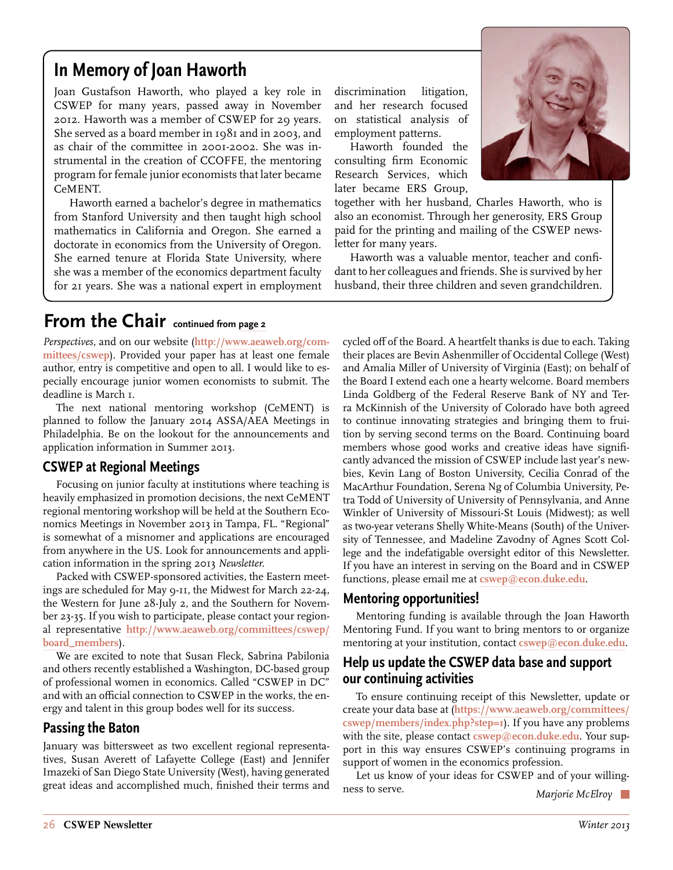# <span id="page-25-0"></span>**In Memory of Joan Haworth**

Joan Gustafson Haworth, who played a key role in CSWEP for many years, passed away in November 2012. Haworth was a member of CSWEP for 29 years. She served as a board member in 1981 and in 2003, and as chair of the committee in 2001-2002. She was instrumental in the creation of CCOFFE, the mentoring program for female junior economists that later became CeMENT.

Haworth earned a bachelor's degree in mathematics from Stanford University and then taught high school mathematics in California and Oregon. She earned a doctorate in economics from the University of Oregon. She earned tenure at Florida State University, where she was a member of the economics department faculty for 21 years. She was a national expert in employment discrimination litigation, and her research focused on statistical analysis of employment patterns.

Haworth founded the consulting firm Economic Research Services, which later became ERS Group,



together with her husband, Charles Haworth, who is also an economist. Through her generosity, ERS Group paid for the printing and mailing of the CSWEP newsletter for many years.

Haworth was a valuable mentor, teacher and confidant to her colleagues and friends. She is survived by her husband, their three children and seven grandchildren.

## **From the Chair** continued from [page 2](#page-1-0)

*Perspectives,* and on our website (**[http://www.aeaweb.org/com](http://www.aeaweb.org/committees/cswep)[mittees/cswep](http://www.aeaweb.org/committees/cswep)**). Provided your paper has at least one female author, entry is competitive and open to all. I would like to especially encourage junior women economists to submit. The deadline is March 1.

The next national mentoring workshop (CeMENT) is planned to follow the January 2014 ASSA/AEA Meetings in Philadelphia. Be on the lookout for the announcements and application information in Summer 2013.

#### **CSWEP at Regional Meetings**

Focusing on junior faculty at institutions where teaching is heavily emphasized in promotion decisions, the next CeMENT regional mentoring workshop will be held at the Southern Economics Meetings in November 2013 in Tampa, FL. "Regional" is somewhat of a misnomer and applications are encouraged from anywhere in the US. Look for announcements and application information in the spring 2013 *Newsletter.*

Packed with CSWEP-sponsored activities, the Eastern meetings are scheduled for May 9-11, the Midwest for March 22-24, the Western for June 28-July 2, and the Southern for November 23-35. If you wish to participate, please contact your regional representative **[http://www.aeaweb.org/committees/cswep/](http://www.aeaweb.org/committees/cswep) [board\\_members](http://www.aeaweb.org/committees/cswep)**).

We are excited to note that Susan Fleck, Sabrina Pabilonia and others recently established a Washington, DC-based group of professional women in economics. Called "CSWEP in DC" and with an official connection to CSWEP in the works, the energy and talent in this group bodes well for its success.

#### **Passing the Baton**

January was bittersweet as two excellent regional representatives, Susan Averett of Lafayette College (East) and Jennifer Imazeki of San Diego State University (West), having generated great ideas and accomplished much, finished their terms and cycled off of the Board. A heartfelt thanks is due to each. Taking their places are Bevin Ashenmiller of Occidental College (West) and Amalia Miller of University of Virginia (East); on behalf of the Board I extend each one a hearty welcome. Board members Linda Goldberg of the Federal Reserve Bank of NY and Terra McKinnish of the University of Colorado have both agreed to continue innovating strategies and bringing them to fruition by serving second terms on the Board. Continuing board members whose good works and creative ideas have significantly advanced the mission of CSWEP include last year's newbies, Kevin Lang of Boston University, Cecilia Conrad of the MacArthur Foundation, Serena Ng of Columbia University, Petra Todd of University of University of Pennsylvania, and Anne Winkler of University of Missouri-St Louis (Midwest); as well as two-year veterans Shelly White-Means (South) of the University of Tennessee, and Madeline Zavodny of Agnes Scott College and the indefatigable oversight editor of this Newsletter. If you have an interest in serving on the Board and in CSWEP functions, please email me at **[cswep@econ.duke.edu](mailto:cswep%40econ.duke.edu?subject=)**.

#### **Mentoring opportunities!**

Mentoring funding is available through the Joan Haworth Mentoring Fund. If you want to bring mentors to or organize mentoring at your institution, contact **[cswep@econ.duke.edu](mailto:cswep%40econ.duke.edu?subject=)**.

#### **Help us update the CSWEP data base and support our continuing activities**

To ensure continuing receipt of this Newsletter, update or create your data base at (**[https://www.aeaweb.org/committees/](https://www.aeaweb.org/committees/cswep/members/index.php?step=1) [cswep/members/index.php?step=1](https://www.aeaweb.org/committees/cswep/members/index.php?step=1)**). If you have any problems with the site, please contact **[cswep@econ.duke.edu](mailto:cswep%40econ.duke.edu?subject=)**. Your support in this way ensures CSWEP's continuing programs in support of women in the economics profession.

Let us know of your ideas for CSWEP and of your willingness to serve. *Marjorie McElroy*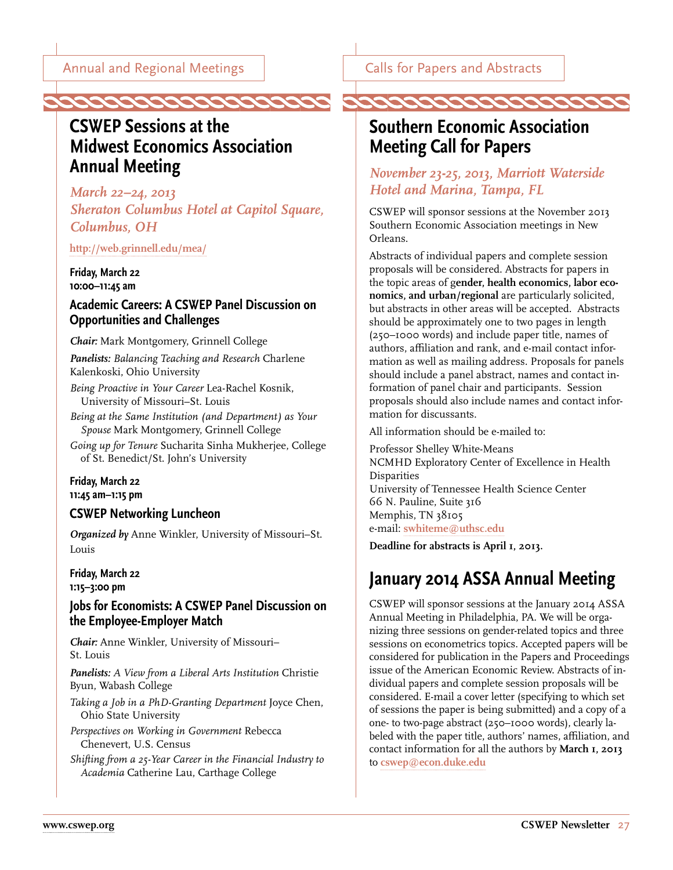## <span id="page-26-0"></span>**CSWEP Sessions at the Midwest Economics Association Annual Meeting**

*March 22–24, 2013 Sheraton Columbus Hotel at Capitol Square, Columbus, OH*

**<http://web.grinnell.edu/mea/>**

**Friday, March 22 10:00–11:45 am**

#### **Academic Careers: A CSWEP Panel Discussion on Opportunities and Challenges**

*Chair:* Mark Montgomery, Grinnell College

*Panelists: Balancing Teaching and Research* Charlene Kalenkoski, Ohio University

*Being Proactive in Your Career* Lea-Rachel Kosnik, University of Missouri–St. Louis

*Being at the Same Institution (and Department) as Your Spouse* Mark Montgomery, Grinnell College

*Going up for Tenure* Sucharita Sinha Mukherjee, College of St. Benedict/St. John's University

#### **Friday, March 22 11:45 am–1:15 pm**

#### **CSWEP Networking Luncheon**

*Organized by* Anne Winkler, University of Missouri–St. Louis

#### **Friday, March 22 1:15–3:00 pm**

#### **Jobs for Economists: A CSWEP Panel Discussion on the Employee-Employer Match**

*Chair:* Anne Winkler, University of Missouri– St. Louis

*Panelists: A View from a Liberal Arts Institution* Christie Byun, Wabash College

*Taking a Job in a PhD-Granting Department* Joyce Chen, Ohio State University

*Perspectives on Working in Government* Rebecca Chenevert, U.S. Census

*Shifting from a 25-Year Career in the Financial Industry to Academia* Catherine Lau, Carthage College

Calls for Papers and Abstracts

# **Southern Economic Association Meeting Call for Papers**

#### *November 23-25, 2013, Marriott Waterside Hotel and Marina, Tampa, FL*

CSWEP will sponsor sessions at the November 2013 Southern Economic Association meetings in New Orleans.

Abstracts of individual papers and complete session proposals will be considered. Abstracts for papers in the topic areas of g**ender, health economics, labor economics, and urban/regional** are particularly solicited, but abstracts in other areas will be accepted. Abstracts should be approximately one to two pages in length (250–1000 words) and include paper title, names of authors, affiliation and rank, and e-mail contact information as well as mailing address. Proposals for panels should include a panel abstract, names and contact information of panel chair and participants. Session proposals should also include names and contact information for discussants.

All information should be e-mailed to:

Professor Shelley White-Means NCMHD Exploratory Center of Excellence in Health Disparities University of Tennessee Health Science Center 66 N. Pauline, Suite 316 Memphis, TN 38105 e-mail: **[swhiteme@uthsc.edu](mailto:swhiteme%40uthsc.edu?subject=)**

**Deadline for abstracts is April 1, 2013.**

# **January 2014 ASSA Annual Meeting**

CSWEP will sponsor sessions at the January 2014 ASSA Annual Meeting in Philadelphia, PA. We will be organizing three sessions on gender-related topics and three sessions on econometrics topics. Accepted papers will be considered for publication in the Papers and Proceedings issue of the American Economic Review. Abstracts of individual papers and complete session proposals will be considered. E-mail a cover letter (specifying to which set of sessions the paper is being submitted) and a copy of a one- to two-page abstract (250–1000 words), clearly labeled with the paper title, authors' names, affiliation, and contact information for all the authors by **March 1, 2013** to **[cswep@econ.duke.edu](mailto:cswep%40econ.duke.edu?subject=)**